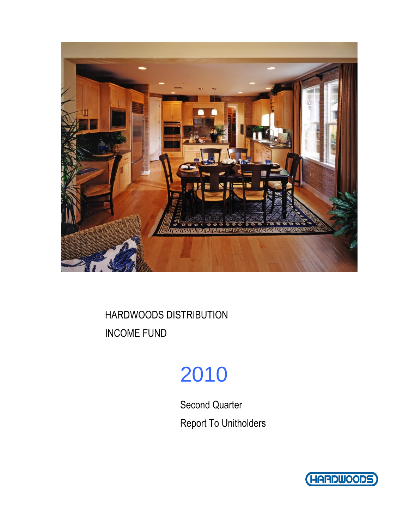

# 2010

Second Quarter Report To Unitholders

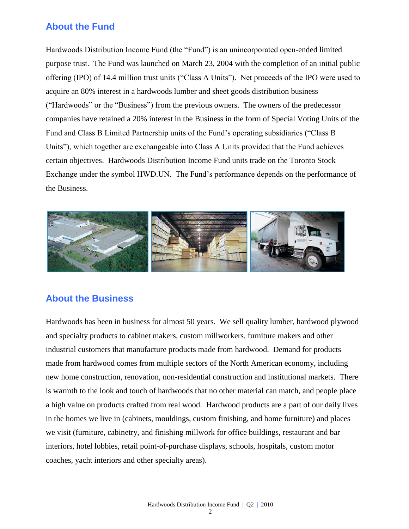### **About the Fund**

Hardwoods Distribution Income Fund (the "Fund") is an unincorporated open-ended limited purpose trust. The Fund was launched on March 23, 2004 with the completion of an initial public offering (IPO) of 14.4 million trust units ("Class A Units"). Net proceeds of the IPO were used to acquire an 80% interest in a hardwoods lumber and sheet goods distribution business ("Hardwoods" or the "Business") from the previous owners. The owners of the predecessor companies have retained a 20% interest in the Business in the form of Special Voting Units of the Fund and Class B Limited Partnership units of the Fund's operating subsidiaries ("Class B Units"), which together are exchangeable into Class A Units provided that the Fund achieves certain objectives. Hardwoods Distribution Income Fund units trade on the Toronto Stock Exchange under the symbol HWD.UN. The Fund's performance depends on the performance of the Business.



### **About the Business**

Hardwoods has been in business for almost 50 years. We sell quality lumber, hardwood plywood and specialty products to cabinet makers, custom millworkers, furniture makers and other industrial customers that manufacture products made from hardwood. Demand for products made from hardwood comes from multiple sectors of the North American economy, including new home construction, renovation, non-residential construction and institutional markets. There is warmth to the look and touch of hardwoods that no other material can match, and people place a high value on products crafted from real wood. Hardwood products are a part of our daily lives in the homes we live in (cabinets, mouldings, custom finishing, and home furniture) and places we visit (furniture, cabinetry, and finishing millwork for office buildings, restaurant and bar interiors, hotel lobbies, retail point-of-purchase displays, schools, hospitals, custom motor coaches, yacht interiors and other specialty areas).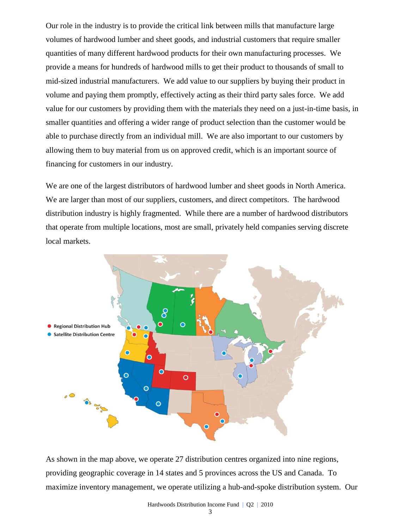Our role in the industry is to provide the critical link between mills that manufacture large volumes of hardwood lumber and sheet goods, and industrial customers that require smaller quantities of many different hardwood products for their own manufacturing processes. We provide a means for hundreds of hardwood mills to get their product to thousands of small to mid-sized industrial manufacturers. We add value to our suppliers by buying their product in volume and paying them promptly, effectively acting as their third party sales force. We add value for our customers by providing them with the materials they need on a just-in-time basis, in smaller quantities and offering a wider range of product selection than the customer would be able to purchase directly from an individual mill. We are also important to our customers by allowing them to buy material from us on approved credit, which is an important source of financing for customers in our industry.

We are one of the largest distributors of hardwood lumber and sheet goods in North America. We are larger than most of our suppliers, customers, and direct competitors. The hardwood distribution industry is highly fragmented. While there are a number of hardwood distributors that operate from multiple locations, most are small, privately held companies serving discrete local markets.



As shown in the map above, we operate 27 distribution centres organized into nine regions, providing geographic coverage in 14 states and 5 provinces across the US and Canada. To maximize inventory management, we operate utilizing a hub-and-spoke distribution system. Our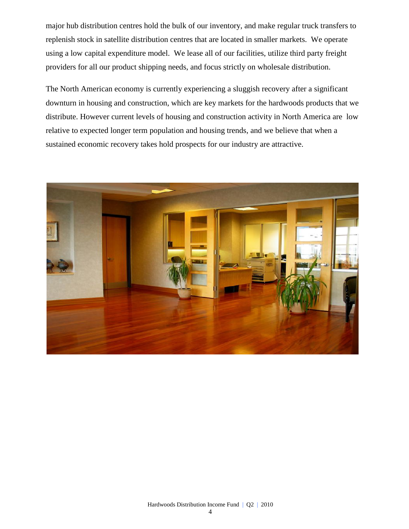major hub distribution centres hold the bulk of our inventory, and make regular truck transfers to replenish stock in satellite distribution centres that are located in smaller markets. We operate using a low capital expenditure model. We lease all of our facilities, utilize third party freight providers for all our product shipping needs, and focus strictly on wholesale distribution.

The North American economy is currently experiencing a sluggish recovery after a significant downturn in housing and construction, which are key markets for the hardwoods products that we distribute. However current levels of housing and construction activity in North America are low relative to expected longer term population and housing trends, and we believe that when a sustained economic recovery takes hold prospects for our industry are attractive.

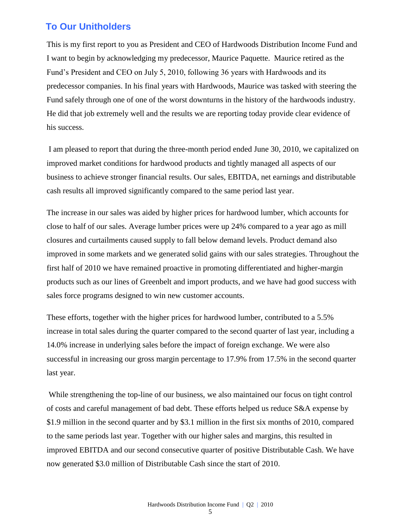### **To Our Unitholders**

This is my first report to you as President and CEO of Hardwoods Distribution Income Fund and I want to begin by acknowledging my predecessor, Maurice Paquette. Maurice retired as the Fund's President and CEO on July 5, 2010, following 36 years with Hardwoods and its predecessor companies. In his final years with Hardwoods, Maurice was tasked with steering the Fund safely through one of one of the worst downturns in the history of the hardwoods industry. He did that job extremely well and the results we are reporting today provide clear evidence of his success.

I am pleased to report that during the three-month period ended June 30, 2010, we capitalized on improved market conditions for hardwood products and tightly managed all aspects of our business to achieve stronger financial results. Our sales, EBITDA, net earnings and distributable cash results all improved significantly compared to the same period last year.

The increase in our sales was aided by higher prices for hardwood lumber, which accounts for close to half of our sales. Average lumber prices were up 24% compared to a year ago as mill closures and curtailments caused supply to fall below demand levels. Product demand also improved in some markets and we generated solid gains with our sales strategies. Throughout the first half of 2010 we have remained proactive in promoting differentiated and higher-margin products such as our lines of Greenbelt and import products, and we have had good success with sales force programs designed to win new customer accounts.

These efforts, together with the higher prices for hardwood lumber, contributed to a 5.5% increase in total sales during the quarter compared to the second quarter of last year, including a 14.0% increase in underlying sales before the impact of foreign exchange. We were also successful in increasing our gross margin percentage to 17.9% from 17.5% in the second quarter last year.

While strengthening the top-line of our business, we also maintained our focus on tight control of costs and careful management of bad debt. These efforts helped us reduce S&A expense by \$1.9 million in the second quarter and by \$3.1 million in the first six months of 2010, compared to the same periods last year. Together with our higher sales and margins, this resulted in improved EBITDA and our second consecutive quarter of positive Distributable Cash. We have now generated \$3.0 million of Distributable Cash since the start of 2010.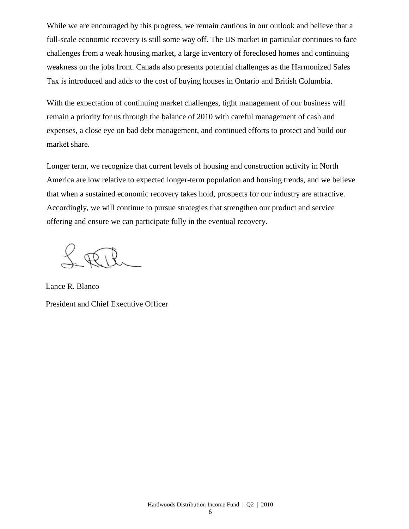While we are encouraged by this progress, we remain cautious in our outlook and believe that a full-scale economic recovery is still some way off. The US market in particular continues to face challenges from a weak housing market, a large inventory of foreclosed homes and continuing weakness on the jobs front. Canada also presents potential challenges as the Harmonized Sales Tax is introduced and adds to the cost of buying houses in Ontario and British Columbia.

With the expectation of continuing market challenges, tight management of our business will remain a priority for us through the balance of 2010 with careful management of cash and expenses, a close eye on bad debt management, and continued efforts to protect and build our market share.

Longer term, we recognize that current levels of housing and construction activity in North America are low relative to expected longer-term population and housing trends, and we believe that when a sustained economic recovery takes hold, prospects for our industry are attractive. Accordingly, we will continue to pursue strategies that strengthen our product and service offering and ensure we can participate fully in the eventual recovery.

Lance R. Blanco President and Chief Executive Officer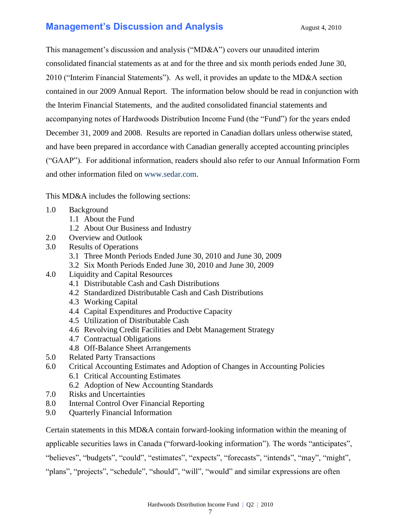### **Management's Discussion and Analysis** August 4, 2010

This management's discussion and analysis ("MD&A") covers our unaudited interim consolidated financial statements as at and for the three and six month periods ended June 30, 2010 ("Interim Financial Statements"). As well, it provides an update to the MD&A section contained in our 2009 Annual Report. The information below should be read in conjunction with the Interim Financial Statements, and the audited consolidated financial statements and accompanying notes of Hardwoods Distribution Income Fund (the "Fund") for the years ended December 31, 2009 and 2008. Results are reported in Canadian dollars unless otherwise stated, and have been prepared in accordance with Canadian generally accepted accounting principles ("GAAP"). For additional information, readers should also refer to our Annual Information Form and other information filed on [www.sedar.com.](http://www.sedar.com/)

This MD&A includes the following sections:

- 1.0 Background
	- 1.1 About the Fund
	- 1.2 About Our Business and Industry
- 2.0 Overview and Outlook
- 3.0 Results of Operations
	- 3.1 Three Month Periods Ended June 30, 2010 and June 30, 2009
	- 3.2 Six Month Periods Ended June 30, 2010 and June 30, 2009
- 4.0 Liquidity and Capital Resources
	- 4.1 Distributable Cash and Cash Distributions
	- 4.2 Standardized Distributable Cash and Cash Distributions
	- 4.3 Working Capital
	- 4.4 Capital Expenditures and Productive Capacity
	- 4.5 Utilization of Distributable Cash
	- 4.6 Revolving Credit Facilities and Debt Management Strategy
	- 4.7 Contractual Obligations
	- 4.8 Off-Balance Sheet Arrangements
- 5.0 Related Party Transactions
- 6.0 Critical Accounting Estimates and Adoption of Changes in Accounting Policies 6.1 Critical Accounting Estimates
	- 6.2 Adoption of New Accounting Standards
- 7.0 Risks and Uncertainties
- 8.0 Internal Control Over Financial Reporting
- 9.0 Quarterly Financial Information

Certain statements in this MD&A contain forward-looking information within the meaning of applicable securities laws in Canada ("forward-looking information"). The words "anticipates",

"believes", "budgets", "could", "estimates", "expects", "forecasts", "intends", "may", "might",

"plans", "projects", "schedule", "should", "will", "would" and similar expressions are often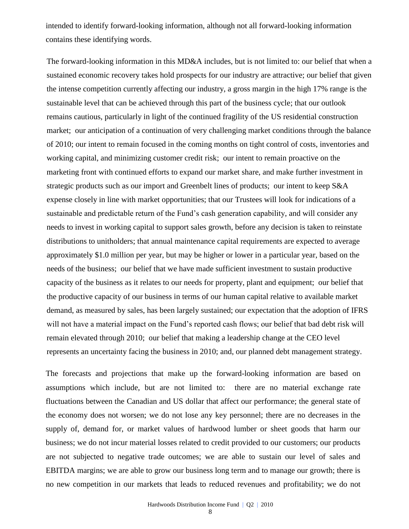intended to identify forward-looking information, although not all forward-looking information contains these identifying words.

The forward-looking information in this MD&A includes, but is not limited to: our belief that when a sustained economic recovery takes hold prospects for our industry are attractive; our belief that given the intense competition currently affecting our industry, a gross margin in the high 17% range is the sustainable level that can be achieved through this part of the business cycle; that our outlook remains cautious, particularly in light of the continued fragility of the US residential construction market; our anticipation of a continuation of very challenging market conditions through the balance of 2010; our intent to remain focused in the coming months on tight control of costs, inventories and working capital, and minimizing customer credit risk; our intent to remain proactive on the marketing front with continued efforts to expand our market share, and make further investment in strategic products such as our import and Greenbelt lines of products; our intent to keep S&A expense closely in line with market opportunities; that our Trustees will look for indications of a sustainable and predictable return of the Fund's cash generation capability, and will consider any needs to invest in working capital to support sales growth, before any decision is taken to reinstate distributions to unitholders; that annual maintenance capital requirements are expected to average approximately \$1.0 million per year, but may be higher or lower in a particular year, based on the needs of the business; our belief that we have made sufficient investment to sustain productive capacity of the business as it relates to our needs for property, plant and equipment; our belief that the productive capacity of our business in terms of our human capital relative to available market demand, as measured by sales, has been largely sustained; our expectation that the adoption of IFRS will not have a material impact on the Fund's reported cash flows; our belief that bad debt risk will remain elevated through 2010; our belief that making a leadership change at the CEO level represents an uncertainty facing the business in 2010; and, our planned debt management strategy.

The forecasts and projections that make up the forward-looking information are based on assumptions which include, but are not limited to: there are no material exchange rate fluctuations between the Canadian and US dollar that affect our performance; the general state of the economy does not worsen; we do not lose any key personnel; there are no decreases in the supply of, demand for, or market values of hardwood lumber or sheet goods that harm our business; we do not incur material losses related to credit provided to our customers; our products are not subjected to negative trade outcomes; we are able to sustain our level of sales and EBITDA margins; we are able to grow our business long term and to manage our growth; there is no new competition in our markets that leads to reduced revenues and profitability; we do not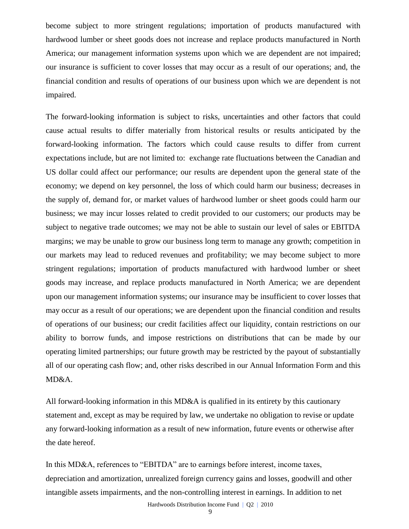become subject to more stringent regulations; importation of products manufactured with hardwood lumber or sheet goods does not increase and replace products manufactured in North America; our management information systems upon which we are dependent are not impaired; our insurance is sufficient to cover losses that may occur as a result of our operations; and, the financial condition and results of operations of our business upon which we are dependent is not impaired.

The forward-looking information is subject to risks, uncertainties and other factors that could cause actual results to differ materially from historical results or results anticipated by the forward-looking information. The factors which could cause results to differ from current expectations include, but are not limited to: exchange rate fluctuations between the Canadian and US dollar could affect our performance; our results are dependent upon the general state of the economy; we depend on key personnel, the loss of which could harm our business; decreases in the supply of, demand for, or market values of hardwood lumber or sheet goods could harm our business; we may incur losses related to credit provided to our customers; our products may be subject to negative trade outcomes; we may not be able to sustain our level of sales or EBITDA margins; we may be unable to grow our business long term to manage any growth; competition in our markets may lead to reduced revenues and profitability; we may become subject to more stringent regulations; importation of products manufactured with hardwood lumber or sheet goods may increase, and replace products manufactured in North America; we are dependent upon our management information systems; our insurance may be insufficient to cover losses that may occur as a result of our operations; we are dependent upon the financial condition and results of operations of our business; our credit facilities affect our liquidity, contain restrictions on our ability to borrow funds, and impose restrictions on distributions that can be made by our operating limited partnerships; our future growth may be restricted by the payout of substantially all of our operating cash flow; and, other risks described in our Annual Information Form and this MD&A.

All forward-looking information in this MD&A is qualified in its entirety by this cautionary statement and, except as may be required by law, we undertake no obligation to revise or update any forward-looking information as a result of new information, future events or otherwise after the date hereof.

In this MD&A, references to "EBITDA" are to earnings before interest, income taxes, depreciation and amortization, unrealized foreign currency gains and losses, goodwill and other intangible assets impairments, and the non-controlling interest in earnings. In addition to net

Hardwoods Distribution Income Fund | Q2 | 2010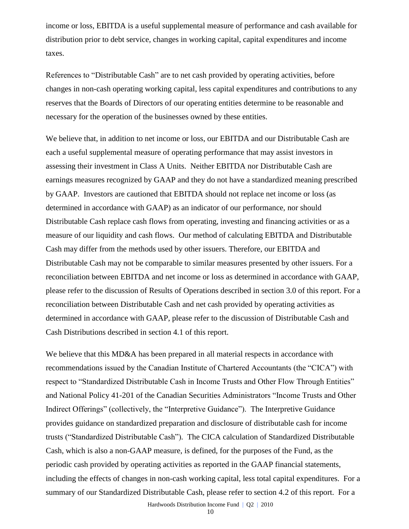income or loss, EBITDA is a useful supplemental measure of performance and cash available for distribution prior to debt service, changes in working capital, capital expenditures and income taxes.

References to "Distributable Cash" are to net cash provided by operating activities, before changes in non-cash operating working capital, less capital expenditures and contributions to any reserves that the Boards of Directors of our operating entities determine to be reasonable and necessary for the operation of the businesses owned by these entities.

We believe that, in addition to net income or loss, our EBITDA and our Distributable Cash are each a useful supplemental measure of operating performance that may assist investors in assessing their investment in Class A Units. Neither EBITDA nor Distributable Cash are earnings measures recognized by GAAP and they do not have a standardized meaning prescribed by GAAP. Investors are cautioned that EBITDA should not replace net income or loss (as determined in accordance with GAAP) as an indicator of our performance, nor should Distributable Cash replace cash flows from operating, investing and financing activities or as a measure of our liquidity and cash flows. Our method of calculating EBITDA and Distributable Cash may differ from the methods used by other issuers. Therefore, our EBITDA and Distributable Cash may not be comparable to similar measures presented by other issuers. For a reconciliation between EBITDA and net income or loss as determined in accordance with GAAP, please refer to the discussion of Results of Operations described in section 3.0 of this report. For a reconciliation between Distributable Cash and net cash provided by operating activities as determined in accordance with GAAP, please refer to the discussion of Distributable Cash and Cash Distributions described in section 4.1 of this report.

We believe that this MD&A has been prepared in all material respects in accordance with recommendations issued by the Canadian Institute of Chartered Accountants (the "CICA") with respect to "Standardized Distributable Cash in Income Trusts and Other Flow Through Entities" and National Policy 41-201 of the Canadian Securities Administrators "Income Trusts and Other Indirect Offerings" (collectively, the "Interpretive Guidance"). The Interpretive Guidance provides guidance on standardized preparation and disclosure of distributable cash for income trusts ("Standardized Distributable Cash"). The CICA calculation of Standardized Distributable Cash, which is also a non-GAAP measure, is defined, for the purposes of the Fund, as the periodic cash provided by operating activities as reported in the GAAP financial statements, including the effects of changes in non-cash working capital, less total capital expenditures. For a summary of our Standardized Distributable Cash, please refer to section 4.2 of this report. For a

Hardwoods Distribution Income Fund | Q2 | 2010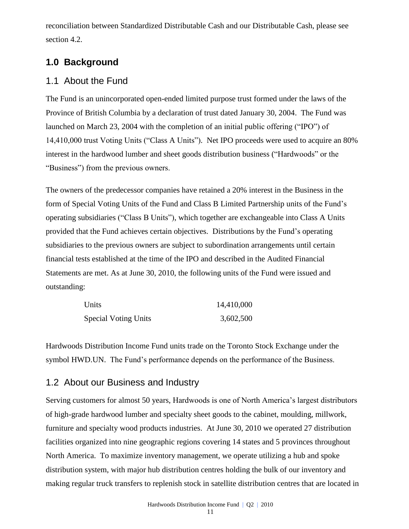reconciliation between Standardized Distributable Cash and our Distributable Cash, please see section 4.2.

### **1.0 Background**

### 1.1 About the Fund

The Fund is an unincorporated open-ended limited purpose trust formed under the laws of the Province of British Columbia by a declaration of trust dated January 30, 2004. The Fund was launched on March 23, 2004 with the completion of an initial public offering ("IPO") of 14,410,000 trust Voting Units ("Class A Units"). Net IPO proceeds were used to acquire an 80% interest in the hardwood lumber and sheet goods distribution business ("Hardwoods" or the "Business") from the previous owners.

The owners of the predecessor companies have retained a 20% interest in the Business in the form of Special Voting Units of the Fund and Class B Limited Partnership units of the Fund's operating subsidiaries ("Class B Units"), which together are exchangeable into Class A Units provided that the Fund achieves certain objectives. Distributions by the Fund's operating subsidiaries to the previous owners are subject to subordination arrangements until certain financial tests established at the time of the IPO and described in the Audited Financial Statements are met. As at June 30, 2010, the following units of the Fund were issued and outstanding:

| Units                       | 14,410,000 |
|-----------------------------|------------|
| <b>Special Voting Units</b> | 3,602,500  |

Hardwoods Distribution Income Fund units trade on the Toronto Stock Exchange under the symbol HWD.UN. The Fund's performance depends on the performance of the Business.

### 1.2 About our Business and Industry

Serving customers for almost 50 years, Hardwoods is one of North America's largest distributors of high-grade hardwood lumber and specialty sheet goods to the cabinet, moulding, millwork, furniture and specialty wood products industries. At June 30, 2010 we operated 27 distribution facilities organized into nine geographic regions covering 14 states and 5 provinces throughout North America. To maximize inventory management, we operate utilizing a hub and spoke distribution system, with major hub distribution centres holding the bulk of our inventory and making regular truck transfers to replenish stock in satellite distribution centres that are located in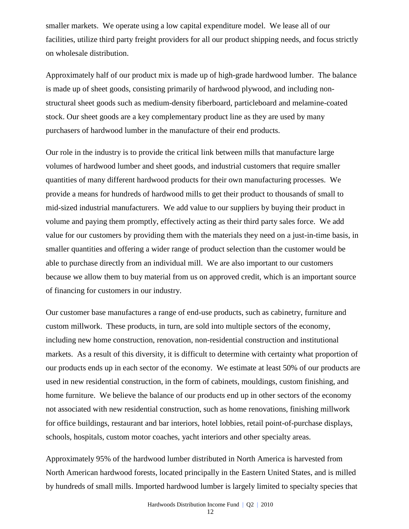smaller markets. We operate using a low capital expenditure model. We lease all of our facilities, utilize third party freight providers for all our product shipping needs, and focus strictly on wholesale distribution.

Approximately half of our product mix is made up of high-grade hardwood lumber. The balance is made up of sheet goods, consisting primarily of hardwood plywood, and including nonstructural sheet goods such as medium-density fiberboard, particleboard and melamine-coated stock. Our sheet goods are a key complementary product line as they are used by many purchasers of hardwood lumber in the manufacture of their end products.

Our role in the industry is to provide the critical link between mills that manufacture large volumes of hardwood lumber and sheet goods, and industrial customers that require smaller quantities of many different hardwood products for their own manufacturing processes. We provide a means for hundreds of hardwood mills to get their product to thousands of small to mid-sized industrial manufacturers. We add value to our suppliers by buying their product in volume and paying them promptly, effectively acting as their third party sales force. We add value for our customers by providing them with the materials they need on a just-in-time basis, in smaller quantities and offering a wider range of product selection than the customer would be able to purchase directly from an individual mill. We are also important to our customers because we allow them to buy material from us on approved credit, which is an important source of financing for customers in our industry.

Our customer base manufactures a range of end-use products, such as cabinetry, furniture and custom millwork. These products, in turn, are sold into multiple sectors of the economy, including new home construction, renovation, non-residential construction and institutional markets. As a result of this diversity, it is difficult to determine with certainty what proportion of our products ends up in each sector of the economy. We estimate at least 50% of our products are used in new residential construction, in the form of cabinets, mouldings, custom finishing, and home furniture. We believe the balance of our products end up in other sectors of the economy not associated with new residential construction, such as home renovations, finishing millwork for office buildings, restaurant and bar interiors, hotel lobbies, retail point-of-purchase displays, schools, hospitals, custom motor coaches, yacht interiors and other specialty areas.

Approximately 95% of the hardwood lumber distributed in North America is harvested from North American hardwood forests, located principally in the Eastern United States, and is milled by hundreds of small mills. Imported hardwood lumber is largely limited to specialty species that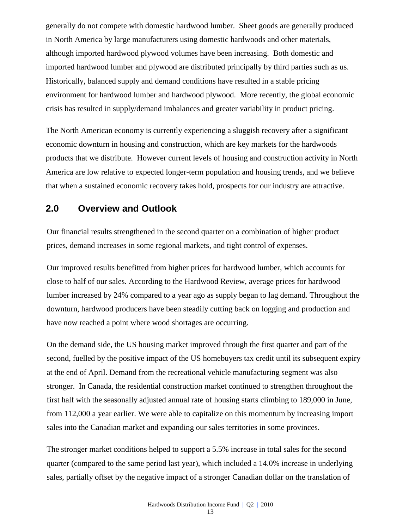generally do not compete with domestic hardwood lumber. Sheet goods are generally produced in North America by large manufacturers using domestic hardwoods and other materials, although imported hardwood plywood volumes have been increasing. Both domestic and imported hardwood lumber and plywood are distributed principally by third parties such as us. Historically, balanced supply and demand conditions have resulted in a stable pricing environment for hardwood lumber and hardwood plywood. More recently, the global economic crisis has resulted in supply/demand imbalances and greater variability in product pricing.

The North American economy is currently experiencing a sluggish recovery after a significant economic downturn in housing and construction, which are key markets for the hardwoods products that we distribute. However current levels of housing and construction activity in North America are low relative to expected longer-term population and housing trends, and we believe that when a sustained economic recovery takes hold, prospects for our industry are attractive.

### **2.0 Overview and Outlook**

Our financial results strengthened in the second quarter on a combination of higher product prices, demand increases in some regional markets, and tight control of expenses.

Our improved results benefitted from higher prices for hardwood lumber, which accounts for close to half of our sales. According to the Hardwood Review, average prices for hardwood lumber increased by 24% compared to a year ago as supply began to lag demand. Throughout the downturn, hardwood producers have been steadily cutting back on logging and production and have now reached a point where wood shortages are occurring.

On the demand side, the US housing market improved through the first quarter and part of the second, fuelled by the positive impact of the US homebuyers tax credit until its subsequent expiry at the end of April. Demand from the recreational vehicle manufacturing segment was also stronger. In Canada, the residential construction market continued to strengthen throughout the first half with the seasonally adjusted annual rate of housing starts climbing to 189,000 in June, from 112,000 a year earlier. We were able to capitalize on this momentum by increasing import sales into the Canadian market and expanding our sales territories in some provinces.

The stronger market conditions helped to support a 5.5% increase in total sales for the second quarter (compared to the same period last year), which included a 14.0% increase in underlying sales, partially offset by the negative impact of a stronger Canadian dollar on the translation of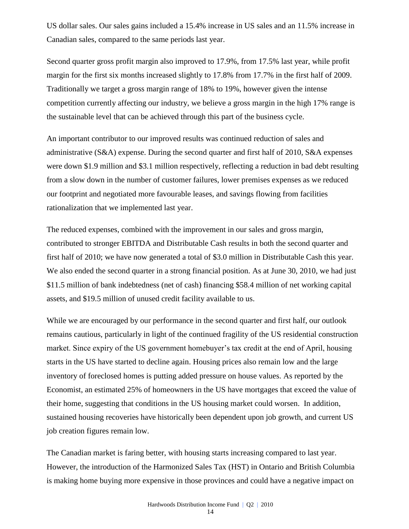US dollar sales. Our sales gains included a 15.4% increase in US sales and an 11.5% increase in Canadian sales, compared to the same periods last year.

Second quarter gross profit margin also improved to 17.9%, from 17.5% last year, while profit margin for the first six months increased slightly to 17.8% from 17.7% in the first half of 2009. Traditionally we target a gross margin range of 18% to 19%, however given the intense competition currently affecting our industry, we believe a gross margin in the high 17% range is the sustainable level that can be achieved through this part of the business cycle.

An important contributor to our improved results was continued reduction of sales and administrative (S&A) expense. During the second quarter and first half of 2010, S&A expenses were down \$1.9 million and \$3.1 million respectively, reflecting a reduction in bad debt resulting from a slow down in the number of customer failures, lower premises expenses as we reduced our footprint and negotiated more favourable leases, and savings flowing from facilities rationalization that we implemented last year.

The reduced expenses, combined with the improvement in our sales and gross margin, contributed to stronger EBITDA and Distributable Cash results in both the second quarter and first half of 2010; we have now generated a total of \$3.0 million in Distributable Cash this year. We also ended the second quarter in a strong financial position. As at June 30, 2010, we had just \$11.5 million of bank indebtedness (net of cash) financing \$58.4 million of net working capital assets, and \$19.5 million of unused credit facility available to us.

While we are encouraged by our performance in the second quarter and first half, our outlook remains cautious, particularly in light of the continued fragility of the US residential construction market. Since expiry of the US government homebuyer's tax credit at the end of April, housing starts in the US have started to decline again. Housing prices also remain low and the large inventory of foreclosed homes is putting added pressure on house values. As reported by the Economist, an estimated 25% of homeowners in the US have mortgages that exceed the value of their home, suggesting that conditions in the US housing market could worsen. In addition, sustained housing recoveries have historically been dependent upon job growth, and current US job creation figures remain low.

The Canadian market is faring better, with housing starts increasing compared to last year. However, the introduction of the Harmonized Sales Tax (HST) in Ontario and British Columbia is making home buying more expensive in those provinces and could have a negative impact on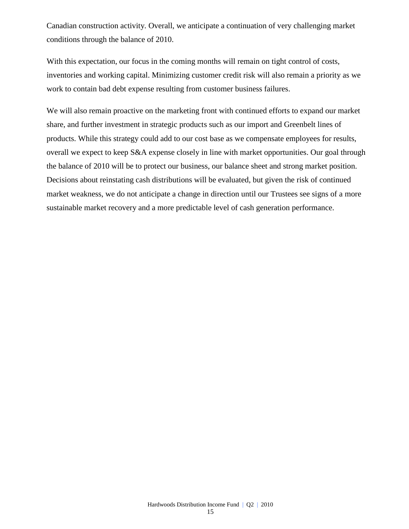Canadian construction activity. Overall, we anticipate a continuation of very challenging market conditions through the balance of 2010.

With this expectation, our focus in the coming months will remain on tight control of costs, inventories and working capital. Minimizing customer credit risk will also remain a priority as we work to contain bad debt expense resulting from customer business failures.

We will also remain proactive on the marketing front with continued efforts to expand our market share, and further investment in strategic products such as our import and Greenbelt lines of products. While this strategy could add to our cost base as we compensate employees for results, overall we expect to keep S&A expense closely in line with market opportunities. Our goal through the balance of 2010 will be to protect our business, our balance sheet and strong market position. Decisions about reinstating cash distributions will be evaluated, but given the risk of continued market weakness, we do not anticipate a change in direction until our Trustees see signs of a more sustainable market recovery and a more predictable level of cash generation performance.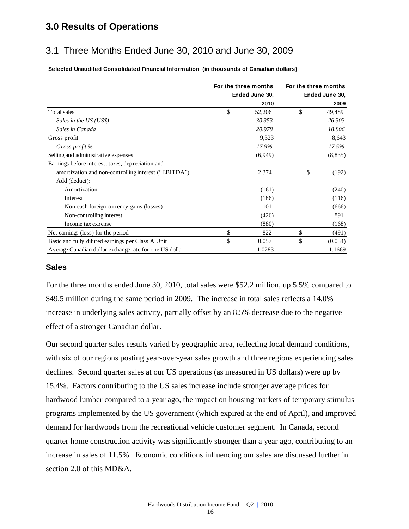### **3.0 Results of Operations**

### 3.1 Three Months Ended June 30, 2010 and June 30, 2009

**Selected Unaudited Consolidated Financial Information (in thousands of Canadian dollars)**

|                                                         | For the three months | For the three months |                |  |
|---------------------------------------------------------|----------------------|----------------------|----------------|--|
|                                                         | Ended June 30,       |                      | Ended June 30, |  |
|                                                         | 2010                 |                      | 2009           |  |
| Total sales                                             | \$<br>52,206         | \$                   | 49,489         |  |
| Sales in the US (US\$)                                  | 30,353               |                      | 26,303         |  |
| Sales in Canada                                         | 20,978               |                      | 18,806         |  |
| Gross profit                                            | 9,323                |                      | 8,643          |  |
| Gross profit %                                          | 17.9%                |                      | 17.5%          |  |
| Selling and administrative expenses                     | (6,949)              |                      | (8, 835)       |  |
| Earnings before interest, taxes, depreciation and       |                      |                      |                |  |
| amortization and non-controlling interest ("EBITDA")    | 2,374                | \$                   | (192)          |  |
| Add (deduct):                                           |                      |                      |                |  |
| Amortization                                            | (161)                |                      | (240)          |  |
| Interest                                                | (186)                |                      | (116)          |  |
| Non-cash foreign currency gains (losses)                | 101                  |                      | (666)          |  |
| Non-controlling interest                                | (426)                |                      | 891            |  |
| Income tax expense                                      | (880)                |                      | (168)          |  |
| Net earnings (loss) for the period                      | \$<br>822            | \$                   | (491)          |  |
| Basic and fully diluted earnings per Class A Unit       | \$<br>0.057          | \$                   | (0.034)        |  |
| Average Canadian dollar exchange rate for one US dollar | 1.0283               |                      | 1.1669         |  |

### **Sales**

For the three months ended June 30, 2010, total sales were \$52.2 million, up 5.5% compared to \$49.5 million during the same period in 2009. The increase in total sales reflects a 14.0% increase in underlying sales activity, partially offset by an 8.5% decrease due to the negative effect of a stronger Canadian dollar.

Our second quarter sales results varied by geographic area, reflecting local demand conditions, with six of our regions posting year-over-year sales growth and three regions experiencing sales declines. Second quarter sales at our US operations (as measured in US dollars) were up by 15.4%. Factors contributing to the US sales increase include stronger average prices for hardwood lumber compared to a year ago, the impact on housing markets of temporary stimulus programs implemented by the US government (which expired at the end of April), and improved demand for hardwoods from the recreational vehicle customer segment. In Canada, second quarter home construction activity was significantly stronger than a year ago, contributing to an increase in sales of 11.5%. Economic conditions influencing our sales are discussed further in section 2.0 of this MD&A.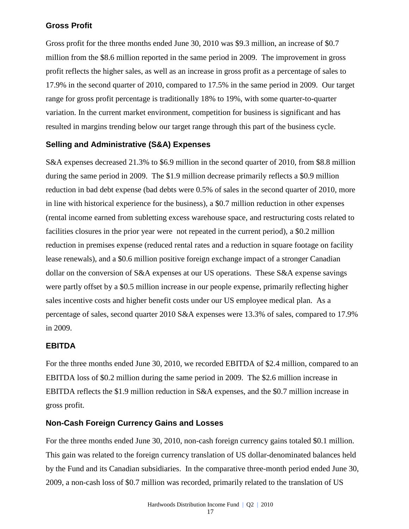### **Gross Profit**

Gross profit for the three months ended June 30, 2010 was \$9.3 million, an increase of \$0.7 million from the \$8.6 million reported in the same period in 2009. The improvement in gross profit reflects the higher sales, as well as an increase in gross profit as a percentage of sales to 17.9% in the second quarter of 2010, compared to 17.5% in the same period in 2009. Our target range for gross profit percentage is traditionally 18% to 19%, with some quarter-to-quarter variation. In the current market environment, competition for business is significant and has resulted in margins trending below our target range through this part of the business cycle.

### **Selling and Administrative (S&A) Expenses**

S&A expenses decreased 21.3% to \$6.9 million in the second quarter of 2010, from \$8.8 million during the same period in 2009. The \$1.9 million decrease primarily reflects a \$0.9 million reduction in bad debt expense (bad debts were 0.5% of sales in the second quarter of 2010, more in line with historical experience for the business), a \$0.7 million reduction in other expenses (rental income earned from subletting excess warehouse space, and restructuring costs related to facilities closures in the prior year were not repeated in the current period), a \$0.2 million reduction in premises expense (reduced rental rates and a reduction in square footage on facility lease renewals), and a \$0.6 million positive foreign exchange impact of a stronger Canadian dollar on the conversion of S&A expenses at our US operations. These S&A expense savings were partly offset by a \$0.5 million increase in our people expense, primarily reflecting higher sales incentive costs and higher benefit costs under our US employee medical plan. As a percentage of sales, second quarter 2010 S&A expenses were 13.3% of sales, compared to 17.9% in 2009.

### **EBITDA**

For the three months ended June 30, 2010, we recorded EBITDA of \$2.4 million, compared to an EBITDA loss of \$0.2 million during the same period in 2009. The \$2.6 million increase in EBITDA reflects the \$1.9 million reduction in S&A expenses, and the \$0.7 million increase in gross profit.

### **Non-Cash Foreign Currency Gains and Losses**

For the three months ended June 30, 2010, non-cash foreign currency gains totaled \$0.1 million. This gain was related to the foreign currency translation of US dollar-denominated balances held by the Fund and its Canadian subsidiaries. In the comparative three-month period ended June 30, 2009, a non-cash loss of \$0.7 million was recorded, primarily related to the translation of US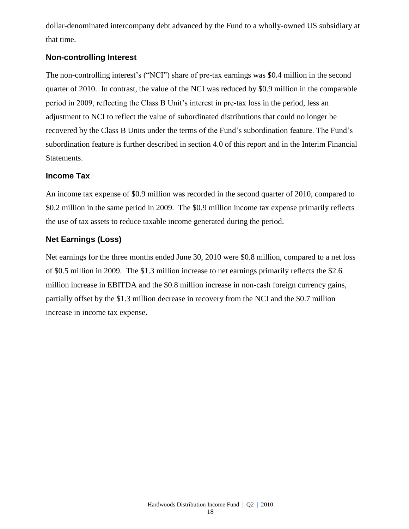dollar-denominated intercompany debt advanced by the Fund to a wholly-owned US subsidiary at that time.

### **Non-controlling Interest**

The non-controlling interest's ("NCI") share of pre-tax earnings was \$0.4 million in the second quarter of 2010. In contrast, the value of the NCI was reduced by \$0.9 million in the comparable period in 2009, reflecting the Class B Unit's interest in pre-tax loss in the period, less an adjustment to NCI to reflect the value of subordinated distributions that could no longer be recovered by the Class B Units under the terms of the Fund's subordination feature. The Fund's subordination feature is further described in section 4.0 of this report and in the Interim Financial Statements.

### **Income Tax**

An income tax expense of \$0.9 million was recorded in the second quarter of 2010, compared to \$0.2 million in the same period in 2009. The \$0.9 million income tax expense primarily reflects the use of tax assets to reduce taxable income generated during the period.

### **Net Earnings (Loss)**

Net earnings for the three months ended June 30, 2010 were \$0.8 million, compared to a net loss of \$0.5 million in 2009. The \$1.3 million increase to net earnings primarily reflects the \$2.6 million increase in EBITDA and the \$0.8 million increase in non-cash foreign currency gains, partially offset by the \$1.3 million decrease in recovery from the NCI and the \$0.7 million increase in income tax expense.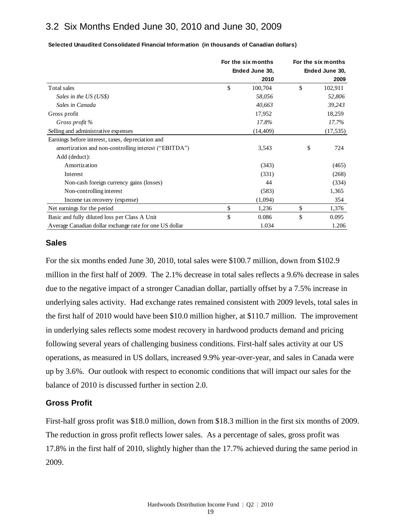### 3.2 Six Months Ended June 30, 2010 and June 30, 2009

|                                                         | For the six months | For the six months |
|---------------------------------------------------------|--------------------|--------------------|
|                                                         | Ended June 30,     | Ended June 30,     |
|                                                         | 2010               | 2009               |
| Total sales                                             | \$<br>100,704      | \$<br>102,911      |
| Sales in the US (US\$)                                  | 58,056             | 52,806             |
| Sales in Canada                                         | 40,663             | 39,243             |
| Gross profit                                            | 17,952             | 18,259             |
| Gross profit %                                          | 17.8%              | 17.7%              |
| Selling and administrative expenses                     | (14, 409)          | (17, 535)          |
| Earnings before interest, taxes, depreciation and       |                    |                    |
| amortization and non-controlling interest ("EBITDA")    | 3,543              | \$<br>724          |
| Add (deduct):                                           |                    |                    |
| Amortization                                            | (343)              | (465)              |
| Interest                                                | (331)              | (268)              |
| Non-cash foreign currency gains (losses)                | 44                 | (334)              |
| Non-controlling interest                                | (583)              | 1,365              |
| Income tax recovery (expense)                           | (1,094)            | 354                |
| Net earnings for the period                             | \$<br>1,236        | \$<br>1,376        |
| Basic and fully diluted loss per Class A Unit           | \$<br>0.086        | \$<br>0.095        |
| Average Canadian dollar exchange rate for one US dollar | 1.034              | 1.206              |

**Selected Unaudited Consolidated Financial Information (in thousands of Canadian dollars)**

### **Sales**

For the six months ended June 30, 2010, total sales were \$100.7 million, down from \$102.9 million in the first half of 2009. The 2.1% decrease in total sales reflects a 9.6% decrease in sales due to the negative impact of a stronger Canadian dollar, partially offset by a 7.5% increase in underlying sales activity. Had exchange rates remained consistent with 2009 levels, total sales in the first half of 2010 would have been \$10.0 million higher, at \$110.7 million. The improvement in underlying sales reflects some modest recovery in hardwood products demand and pricing following several years of challenging business conditions. First-half sales activity at our US operations, as measured in US dollars, increased 9.9% year-over-year, and sales in Canada were up by 3.6%. Our outlook with respect to economic conditions that will impact our sales for the balance of 2010 is discussed further in section 2.0.

#### **Gross Profit**

First-half gross profit was \$18.0 million, down from \$18.3 million in the first six months of 2009. The reduction in gross profit reflects lower sales. As a percentage of sales, gross profit was 17.8% in the first half of 2010, slightly higher than the 17.7% achieved during the same period in 2009.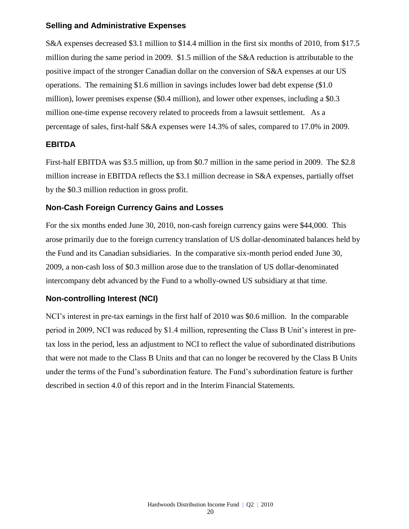### **Selling and Administrative Expenses**

S&A expenses decreased \$3.1 million to \$14.4 million in the first six months of 2010, from \$17.5 million during the same period in 2009. \$1.5 million of the S&A reduction is attributable to the positive impact of the stronger Canadian dollar on the conversion of S&A expenses at our US operations. The remaining \$1.6 million in savings includes lower bad debt expense (\$1.0 million), lower premises expense (\$0.4 million), and lower other expenses, including a \$0.3 million one-time expense recovery related to proceeds from a lawsuit settlement. As a percentage of sales, first-half S&A expenses were 14.3% of sales, compared to 17.0% in 2009.

### **EBITDA**

First-half EBITDA was \$3.5 million, up from \$0.7 million in the same period in 2009. The \$2.8 million increase in EBITDA reflects the \$3.1 million decrease in S&A expenses, partially offset by the \$0.3 million reduction in gross profit.

### **Non-Cash Foreign Currency Gains and Losses**

For the six months ended June 30, 2010, non-cash foreign currency gains were \$44,000. This arose primarily due to the foreign currency translation of US dollar-denominated balances held by the Fund and its Canadian subsidiaries. In the comparative six-month period ended June 30, 2009, a non-cash loss of \$0.3 million arose due to the translation of US dollar-denominated intercompany debt advanced by the Fund to a wholly-owned US subsidiary at that time.

### **Non-controlling Interest (NCI)**

NCI's interest in pre-tax earnings in the first half of 2010 was \$0.6 million. In the comparable period in 2009, NCI was reduced by \$1.4 million, representing the Class B Unit's interest in pretax loss in the period, less an adjustment to NCI to reflect the value of subordinated distributions that were not made to the Class B Units and that can no longer be recovered by the Class B Units under the terms of the Fund's subordination feature. The Fund's subordination feature is further described in section 4.0 of this report and in the Interim Financial Statements.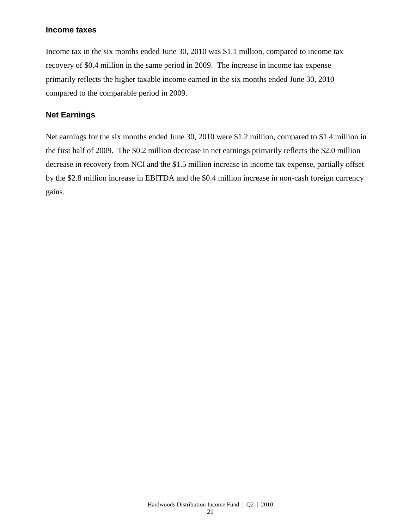### **Income taxes**

Income tax in the six months ended June 30, 2010 was \$1.1 million, compared to income tax recovery of \$0.4 million in the same period in 2009. The increase in income tax expense primarily reflects the higher taxable income earned in the six months ended June 30, 2010 compared to the comparable period in 2009.

### **Net Earnings**

Net earnings for the six months ended June 30, 2010 were \$1.2 million, compared to \$1.4 million in the first half of 2009. The \$0.2 million decrease in net earnings primarily reflects the \$2.0 million decrease in recovery from NCI and the \$1.5 million increase in income tax expense, partially offset by the \$2.8 million increase in EBITDA and the \$0.4 million increase in non-cash foreign currency gains.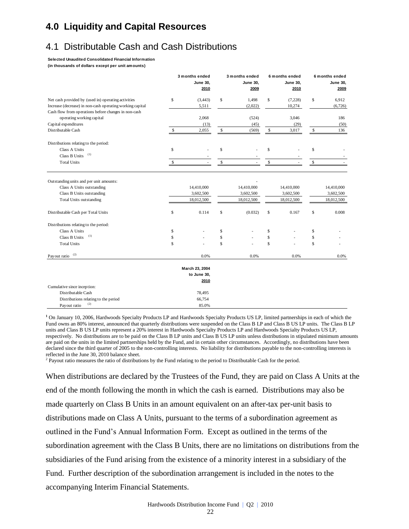### **4.0 Liquidity and Capital Resources**

## 4.1 Distributable Cash and Cash Distributions

**Selected Unaudited Consolidated Financial Information** 

**(in thousands of dollars except per unit amounts)**

|                                                                                                                                                                                                                  |                | 3 months ended<br><b>June 30.</b><br>2010      |                | 3 months ended<br><b>June 30.</b><br>2009        |                | 6 months ended<br><b>June 30.</b><br>2010      |                | 6 months ended<br><b>June 30.</b><br>2009      |
|------------------------------------------------------------------------------------------------------------------------------------------------------------------------------------------------------------------|----------------|------------------------------------------------|----------------|--------------------------------------------------|----------------|------------------------------------------------|----------------|------------------------------------------------|
| Net cash provided by (used in) operating activities                                                                                                                                                              | \$             | (3, 443)                                       | \$             | 1,498                                            | \$             | (7,228)                                        | \$             | 6,912                                          |
| Increase (decrease) in non-cash operating working capital                                                                                                                                                        |                | 5,511                                          |                | (2,022)                                          |                | 10,274                                         |                | (6,726)                                        |
| Cash flow from operations before changes in non-cash                                                                                                                                                             |                |                                                |                |                                                  |                |                                                |                |                                                |
| operating working capital                                                                                                                                                                                        |                | 2,068                                          |                | (524)                                            |                | 3,046                                          |                | 186                                            |
| Capital expenditures                                                                                                                                                                                             |                | (13)                                           |                | (45)                                             |                | (29)                                           |                | (50)                                           |
| Distributable Cash                                                                                                                                                                                               | \$             | 2,055                                          | S              | (569)                                            | \$             | 3,017                                          | \$             | 136                                            |
| Distributions relating to the period:                                                                                                                                                                            |                |                                                |                |                                                  |                |                                                |                |                                                |
| Class A Units                                                                                                                                                                                                    | \$             |                                                | \$             |                                                  | \$             |                                                | \$             |                                                |
| (1)<br>Class B Units                                                                                                                                                                                             |                |                                                |                |                                                  |                |                                                |                |                                                |
| <b>Total Units</b>                                                                                                                                                                                               | Ŝ              |                                                | $\mathbb S$    |                                                  | \$             |                                                | \$             |                                                |
| Class A Units outstanding<br>Class B Units outstanding<br><b>Total Units outstanding</b><br>Distributable Cash per Total Units<br>Distributions relating to the period:<br>Class A Units<br>(1)<br>Class B Units | \$<br>\$<br>\$ | 14,410,000<br>3,602,500<br>18,012,500<br>0.114 | \$<br>\$<br>\$ | 14,410,000<br>3,602,500<br>18,012,500<br>(0.032) | \$<br>\$<br>\$ | 14,410,000<br>3,602,500<br>18,012,500<br>0.167 | \$<br>\$<br>\$ | 14,410,000<br>3,602,500<br>18,012,500<br>0.008 |
| <b>Total Units</b>                                                                                                                                                                                               | $\mathbf S$    |                                                | $\mathbf S$    |                                                  | \$             |                                                | \$             |                                                |
| (2)<br>Payout ratio                                                                                                                                                                                              |                | 0.0%                                           |                | 0.0%                                             |                | 0.0%                                           |                | 0.0%                                           |
|                                                                                                                                                                                                                  |                | March 23, 2004                                 |                |                                                  |                |                                                |                |                                                |
|                                                                                                                                                                                                                  |                | to June 30,                                    |                |                                                  |                |                                                |                |                                                |
|                                                                                                                                                                                                                  |                | 2010                                           |                |                                                  |                |                                                |                |                                                |
| Cumulative since inception:                                                                                                                                                                                      |                |                                                |                |                                                  |                |                                                |                |                                                |
| Distributable Cash                                                                                                                                                                                               |                | 78,495                                         |                |                                                  |                |                                                |                |                                                |
| Distributions relating to the period                                                                                                                                                                             |                | 66,754                                         |                |                                                  |                |                                                |                |                                                |
| (2)<br>Payout ratio                                                                                                                                                                                              |                | 85.0%                                          |                |                                                  |                |                                                |                |                                                |

**<sup>1</sup>** On January 10, 2006, Hardwoods Specialty Products LP and Hardwoods Specialty Products US LP, limited partnerships in each of which the Fund owns an 80% interest, announced that quarterly distributions were suspended on the Class B LP and Class B US LP units. The Class B LP units and Class B US LP units represent a 20% interest in Hardwoods Specialty Products LP and Hardwoods Specialty Products US LP, respectively. No distributions are to be paid on the Class B LP units and Class B US LP units unless distributions in stipulated minimum amounts are paid on the units in the limited partnerships held by the Fund, and in certain other circumstances. Accordingly, no distributions have been declared since the third quarter of 2005 to the non-controlling interests. No liability for distributions payable to the non-controlling interests is reflected in the June 30, 2010 balance sheet.

<sup>2</sup> Payout ratio measures the ratio of distributions by the Fund relating to the period to Distributable Cash for the period.

When distributions are declared by the Trustees of the Fund, they are paid on Class A Units at the end of the month following the month in which the cash is earned. Distributions may also be made quarterly on Class B Units in an amount equivalent on an after-tax per-unit basis to distributions made on Class A Units, pursuant to the terms of a subordination agreement as outlined in the Fund's Annual Information Form. Except as outlined in the terms of the subordination agreement with the Class B Units, there are no limitations on distributions from the subsidiaries of the Fund arising from the existence of a minority interest in a subsidiary of the Fund. Further description of the subordination arrangement is included in the notes to the accompanying Interim Financial Statements.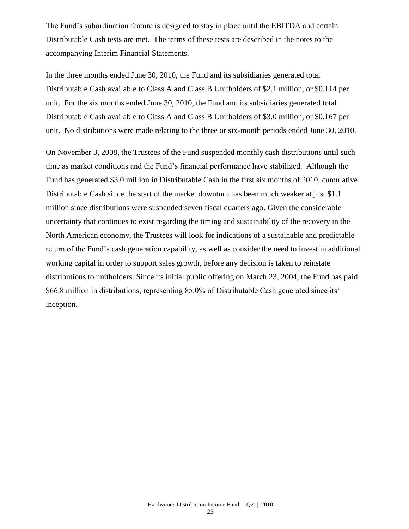The Fund's subordination feature is designed to stay in place until the EBITDA and certain Distributable Cash tests are met. The terms of these tests are described in the notes to the accompanying Interim Financial Statements.

In the three months ended June 30, 2010, the Fund and its subsidiaries generated total Distributable Cash available to Class A and Class B Unitholders of \$2.1 million, or \$0.114 per unit. For the six months ended June 30, 2010, the Fund and its subsidiaries generated total Distributable Cash available to Class A and Class B Unitholders of \$3.0 million, or \$0.167 per unit. No distributions were made relating to the three or six-month periods ended June 30, 2010.

On November 3, 2008, the Trustees of the Fund suspended monthly cash distributions until such time as market conditions and the Fund's financial performance have stabilized. Although the Fund has generated \$3.0 million in Distributable Cash in the first six months of 2010, cumulative Distributable Cash since the start of the market downturn has been much weaker at just \$1.1 million since distributions were suspended seven fiscal quarters ago. Given the considerable uncertainty that continues to exist regarding the timing and sustainability of the recovery in the North American economy, the Trustees will look for indications of a sustainable and predictable return of the Fund's cash generation capability, as well as consider the need to invest in additional working capital in order to support sales growth, before any decision is taken to reinstate distributions to unitholders. Since its initial public offering on March 23, 2004, the Fund has paid \$66.8 million in distributions, representing 85.0% of Distributable Cash generated since its' inception.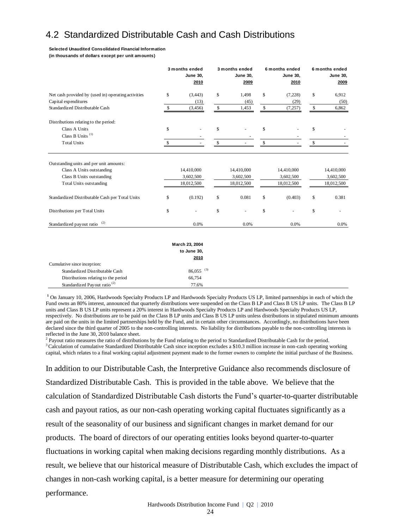## 4.2 Standardized Distributable Cash and Cash Distributions

#### **Selected Unaudited Consolidated Financial Information**

**(in thousands of dollars except per unit amounts)**

|                                                                                          |    | 3 months ended<br><b>June 30,</b><br>2010 | 3 months ended<br><b>June 30,</b><br>2009 | 6 months ended<br><b>June 30,</b><br>2010 | 6 months ended<br><b>June 30,</b><br>2009 |
|------------------------------------------------------------------------------------------|----|-------------------------------------------|-------------------------------------------|-------------------------------------------|-------------------------------------------|
| Net cash provided by (used in) operating activities                                      | \$ | (3, 443)                                  | \$<br>1,498                               | \$<br>(7,228)                             | \$<br>6,912                               |
| Capital expenditures                                                                     |    | (13)                                      | (45)                                      | (29)                                      | (50)                                      |
| Standardized Distributable Cash                                                          | \$ | (3, 456)                                  | \$<br>1,453                               | \$<br>(7, 257)                            | \$<br>6,862                               |
| Distributions relating to the period:                                                    |    |                                           |                                           |                                           |                                           |
| Class A Units                                                                            | \$ |                                           | \$                                        | \$                                        | \$                                        |
| Class B Units <sup><math>(1)</math></sup>                                                |    |                                           |                                           |                                           |                                           |
| <b>Total Units</b>                                                                       | S  |                                           | \$                                        | \$                                        | \$                                        |
| Class A Units outstanding<br>Class B Units outstanding<br><b>Total Units outstanding</b> |    | 14,410,000<br>3,602,500<br>18,012,500     | 14,410,000<br>3,602,500<br>18,012,500     | 14,410,000<br>3,602,500<br>18,012,500     | 14,410,000<br>3,602,500<br>18,012,500     |
| Standardized Distributable Cash per Total Units                                          | \$ | (0.192)                                   | \$<br>0.081                               | \$<br>(0.403)                             | \$<br>0.381                               |
| Distributions per Total Units                                                            | \$ |                                           | \$                                        | \$                                        | \$                                        |
| (2)<br>Standardized payout ratio                                                         |    | 0.0%                                      | 0.0%                                      | 0.0%                                      | 0.0%                                      |
|                                                                                          |    | March 23, 2004<br>to June 30,             |                                           |                                           |                                           |

|                                          | to ourie oo,            |  |
|------------------------------------------|-------------------------|--|
|                                          | 2010                    |  |
| Cumulative since inception:              |                         |  |
| Standardized Distributable Cash          | $86.055$ <sup>(3)</sup> |  |
| Distributions relating to the period     | 66,754                  |  |
| Standardized Payout ratio <sup>(2)</sup> | 77.6%                   |  |
|                                          |                         |  |

**<sup>1</sup>** On January 10, 2006, Hardwoods Specialty Products LP and Hardwoods Specialty Products US LP, limited partnerships in each of which the Fund owns an 80% interest, announced that quarterly distributions were suspended on the Class B LP and Class B US LP units. The Class B LP units and Class B US LP units represent a 20% interest in Hardwoods Specialty Products LP and Hardwoods Specialty Products US LP, respectively. No distributions are to be paid on the Class B LP units and Class B US LP units unless distributions in stipulated minimum amounts are paid on the units in the limited partnerships held by the Fund, and in certain other circumstances. Accordingly, no distributions have been declared since the third quarter of 2005 to the non-controlling interests. No liability for distributions payable to the non-controlling interests is reflected in the June 30, 2010 balance sheet.

<sup>2</sup> Payout ratio measures the ratio of distributions by the Fund relating to the period to Standardized Distributable Cash for the period. <sup>3</sup>Calculation of cumulative Standardized Distributable Cash since inception excludes a \$10.3 million increase in non-cash operating working capital, which relates to a final working capital adjustment payment made to the former owners to complete the initial purchase of the Business.

In addition to our Distributable Cash, the Interpretive Guidance also recommends disclosure of Standardized Distributable Cash. This is provided in the table above. We believe that the calculation of Standardized Distributable Cash distorts the Fund's quarter-to-quarter distributable cash and payout ratios, as our non-cash operating working capital fluctuates significantly as a result of the seasonality of our business and significant changes in market demand for our products. The board of directors of our operating entities looks beyond quarter-to-quarter fluctuations in working capital when making decisions regarding monthly distributions. As a result, we believe that our historical measure of Distributable Cash, which excludes the impact of changes in non-cash working capital, is a better measure for determining our operating performance.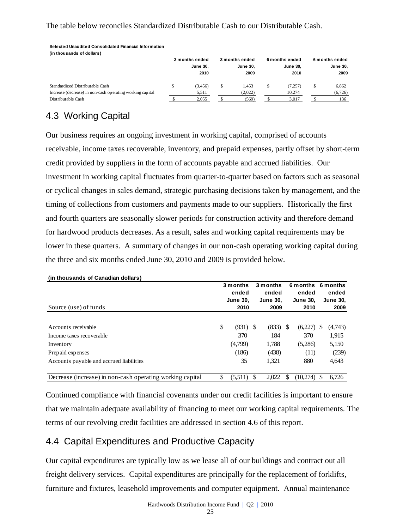### The table below reconciles Standardized Distributable Cash to our Distributable Cash.

| (in thousands of dollars)                                 |  |                         |    |                         |  |                         |   |                         |  |  |  |
|-----------------------------------------------------------|--|-------------------------|----|-------------------------|--|-------------------------|---|-------------------------|--|--|--|
|                                                           |  | 3 months ended          |    | 3 months ended          |  | 6 months ended          |   | 6 months ended          |  |  |  |
|                                                           |  | <b>June 30.</b><br>2010 |    | <b>June 30.</b><br>2009 |  | <b>June 30.</b><br>2010 |   | <b>June 30,</b><br>2009 |  |  |  |
| Standardized Distributable Cash                           |  | (3, 456)                | \$ | 1.453                   |  | (7,257)                 | S | 6.862                   |  |  |  |
| Increase (decrease) in non-cash operating working capital |  | 5,511                   |    | (2,022)                 |  | 10.274                  |   | (6,726)                 |  |  |  |
| Distributable Cash                                        |  | 2.055                   |    | (569)                   |  | 3.017                   |   | 136                     |  |  |  |

# 4.3 Working Capital

**Selected Unaudited Consolidated Financial Information** 

Our business requires an ongoing investment in working capital, comprised of accounts receivable, income taxes recoverable, inventory, and prepaid expenses, partly offset by short-term credit provided by suppliers in the form of accounts payable and accrued liabilities. Our investment in working capital fluctuates from quarter-to-quarter based on factors such as seasonal or cyclical changes in sales demand, strategic purchasing decisions taken by management, and the timing of collections from customers and payments made to our suppliers. Historically the first and fourth quarters are seasonally slower periods for construction activity and therefore demand for hardwood products decreases. As a result, sales and working capital requirements may be lower in these quarters. A summary of changes in our non-cash operating working capital during the three and six months ended June 30, 2010 and 2009 is provided below.

|                                                           | 3 months |                 |     | 3 months        |     | 6 months 6 months |    |                 |
|-----------------------------------------------------------|----------|-----------------|-----|-----------------|-----|-------------------|----|-----------------|
|                                                           |          | ended           |     | ended           |     | ended             |    | ended           |
|                                                           |          | <b>June 30,</b> |     | <b>June 30,</b> |     | <b>June 30,</b>   |    | <b>June 30,</b> |
| Source (use) of funds                                     |          | 2010            |     | 2009            |     | 2010              |    | 2009            |
|                                                           |          |                 |     |                 |     |                   |    |                 |
| Accounts receivable                                       | \$       | (931)           | - S | (833)           | S   | (6,227)           | S  | (4,743)         |
| Income taxes recoverable                                  |          | 370             |     | 184             |     | 370               |    | 1,915           |
| Inventory                                                 |          | (4,799)         |     | 1,788           |     | (5,286)           |    | 5,150           |
| Prepaid expenses                                          |          | (186)           |     | (438)           |     | (11)              |    | (239)           |
| Accounts payable and accrued liabilities                  |          | 35              |     | 1,321           |     | 880               |    | 4,643           |
|                                                           |          |                 |     |                 |     |                   |    |                 |
| Decrease (increase) in non-cash operating working capital | \$       | (5,511)         | -S  | 2,022           | \$. | (10,274)          | \$ | 6.726           |

#### **(in thousands of Canadian dollars)**

Continued compliance with financial covenants under our credit facilities is important to ensure that we maintain adequate availability of financing to meet our working capital requirements. The terms of our revolving credit facilities are addressed in section 4.6 of this report.

### 4.4 Capital Expenditures and Productive Capacity

Our capital expenditures are typically low as we lease all of our buildings and contract out all freight delivery services. Capital expenditures are principally for the replacement of forklifts, furniture and fixtures, leasehold improvements and computer equipment. Annual maintenance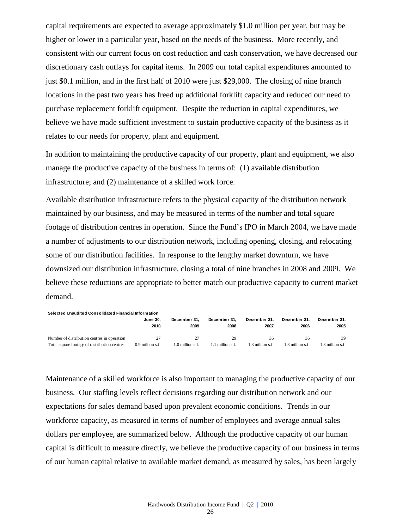capital requirements are expected to average approximately \$1.0 million per year, but may be higher or lower in a particular year, based on the needs of the business. More recently, and consistent with our current focus on cost reduction and cash conservation, we have decreased our discretionary cash outlays for capital items. In 2009 our total capital expenditures amounted to just \$0.1 million, and in the first half of 2010 were just \$29,000. The closing of nine branch locations in the past two years has freed up additional forklift capacity and reduced our need to purchase replacement forklift equipment. Despite the reduction in capital expenditures, we believe we have made sufficient investment to sustain productive capacity of the business as it relates to our needs for property, plant and equipment.

In addition to maintaining the productive capacity of our property, plant and equipment, we also manage the productive capacity of the business in terms of: (1) available distribution infrastructure; and (2) maintenance of a skilled work force.

Available distribution infrastructure refers to the physical capacity of the distribution network maintained by our business, and may be measured in terms of the number and total square footage of distribution centres in operation. Since the Fund's IPO in March 2004, we have made a number of adjustments to our distribution network, including opening, closing, and relocating some of our distribution facilities. In response to the lengthy market downturn, we have downsized our distribution infrastructure, closing a total of nine branches in 2008 and 2009. We believe these reductions are appropriate to better match our productive capacity to current market demand.

| Selected Unaudited Consolidated Financial Information |                         |                      |                      |                      |                      |                      |  |  |  |  |  |  |
|-------------------------------------------------------|-------------------------|----------------------|----------------------|----------------------|----------------------|----------------------|--|--|--|--|--|--|
|                                                       | <b>June 30.</b><br>2010 | December 31.<br>2009 | December 31.<br>2008 | December 31.<br>2007 | December 31.<br>2006 | December 31.<br>2005 |  |  |  |  |  |  |
| Number of distribution centres in operation           |                         | 27                   | 29                   | 36                   | 36                   | 39                   |  |  |  |  |  |  |
| Total square footage of distribution centres          | 0.9 million s.f.        | $1.0$ million s.f.   | 1.1 million s.f.     | 1.3 million s.f.     | 1.3 million s.f.     | $1.3$ million s.f.   |  |  |  |  |  |  |

Maintenance of a skilled workforce is also important to managing the productive capacity of our business. Our staffing levels reflect decisions regarding our distribution network and our expectations for sales demand based upon prevalent economic conditions. Trends in our workforce capacity, as measured in terms of number of employees and average annual sales dollars per employee, are summarized below. Although the productive capacity of our human capital is difficult to measure directly, we believe the productive capacity of our business in terms of our human capital relative to available market demand, as measured by sales, has been largely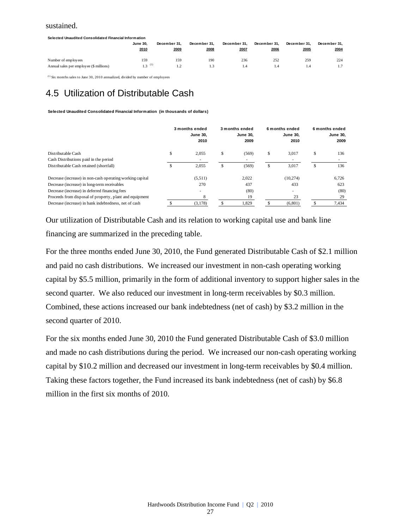#### sustained.

| Selected Unaudited Consolidated Financial Information |                      |              |              |              |              |              |              |  |  |  |
|-------------------------------------------------------|----------------------|--------------|--------------|--------------|--------------|--------------|--------------|--|--|--|
|                                                       | <b>June 30.</b>      | December 31. | December 31. | December 31. | December 31. | December 31. | December 31. |  |  |  |
|                                                       | 2010                 | 2009         | 2008         | 2007         | 2006         | 2005         | 2004         |  |  |  |
|                                                       |                      |              |              |              |              |              |              |  |  |  |
| Number of employees                                   | 159                  | 159          | 190          | 236          | 252          | 259          | 224          |  |  |  |
| Annual sales per employee (\$ millions)               | $1.3$ <sup>(1)</sup> |              | ı 3.         | 1.4          |              | i 4          |              |  |  |  |

 $(1)$  Six months sales to June 30, 2010 annualized, divided by number of employees

## 4.5 Utilization of Distributable Cash

**Selected Unaudited Consolidated Financial Information (in thousands of dollars)**

|                                                           |    | 3 months ended<br><b>June 30,</b><br>2010 |   | 3 months ended<br><b>June 30.</b><br>2009 |    | 6 months ended<br><b>June 30.</b><br>2010 |   | 6 months ended<br><b>June 30,</b><br>2009 |
|-----------------------------------------------------------|----|-------------------------------------------|---|-------------------------------------------|----|-------------------------------------------|---|-------------------------------------------|
| Distributable Cash                                        | \$ | 2.055                                     | S | (569)                                     | \$ | 3.017                                     | S | 136                                       |
| Cash Distributions paid in the period                     |    |                                           |   |                                           |    |                                           |   |                                           |
| Distributable Cash retained (shortfall)                   | ъ  | 2,055                                     | S | (569)                                     | ъ  | 3,017                                     | S | 136                                       |
| Decrease (increase) in non-cash operating working capital |    | (5,511)                                   |   | 2.022                                     |    | (10, 274)                                 |   | 6.726                                     |
| Decrease (increase) in long-term receivables              |    | 270                                       |   | 437                                       |    | 433                                       |   | 623                                       |
| Decrease (increase) in deferred financing fees            |    | ۰                                         |   | (80)                                      |    | $\sim$                                    |   | (80)                                      |
| Proceeds from disposal of property, plant and equipment   |    | 8                                         |   | 19                                        |    | 23                                        |   | 29                                        |
| Decrease (increase) in bank indebtedness, net of cash     |    | (3,178)                                   |   | 1,829                                     |    | (6,801)                                   |   | 7,434                                     |

Our utilization of Distributable Cash and its relation to working capital use and bank line financing are summarized in the preceding table.

For the three months ended June 30, 2010, the Fund generated Distributable Cash of \$2.1 million and paid no cash distributions. We increased our investment in non-cash operating working capital by \$5.5 million, primarily in the form of additional inventory to support higher sales in the second quarter. We also reduced our investment in long-term receivables by \$0.3 million. Combined, these actions increased our bank indebtedness (net of cash) by \$3.2 million in the second quarter of 2010.

For the six months ended June 30, 2010 the Fund generated Distributable Cash of \$3.0 million and made no cash distributions during the period. We increased our non-cash operating working capital by \$10.2 million and decreased our investment in long-term receivables by \$0.4 million. Taking these factors together, the Fund increased its bank indebtedness (net of cash) by \$6.8 million in the first six months of 2010.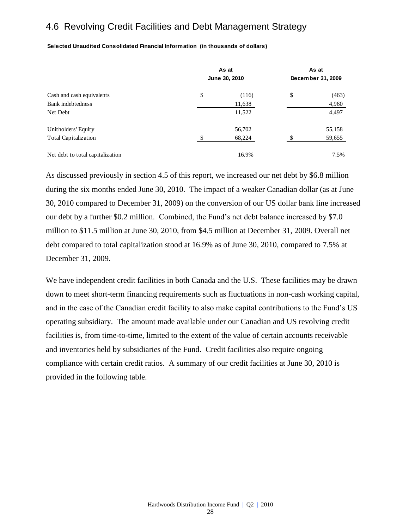### 4.6 Revolving Credit Facilities and Debt Management Strategy

**Selected Unaudited Consolidated Financial Information (in thousands of dollars)**

|                                  | As at         | As at |                   |  |
|----------------------------------|---------------|-------|-------------------|--|
|                                  | June 30, 2010 |       | December 31, 2009 |  |
| Cash and cash equivalents        | \$<br>(116)   | \$    | (463)             |  |
| <b>Bank</b> indebtedness         | 11,638        |       | 4,960             |  |
| Net Debt                         | 11,522        |       | 4,497             |  |
| Unitholders' Equity              | 56,702        |       | 55,158            |  |
| <b>Total Capitalization</b>      | 68,224        |       | 59,655            |  |
| Net debt to total capitalization | 16.9%         |       | 7.5%              |  |

As discussed previously in section 4.5 of this report, we increased our net debt by \$6.8 million during the six months ended June 30, 2010. The impact of a weaker Canadian dollar (as at June 30, 2010 compared to December 31, 2009) on the conversion of our US dollar bank line increased our debt by a further \$0.2 million. Combined, the Fund's net debt balance increased by \$7.0 million to \$11.5 million at June 30, 2010, from \$4.5 million at December 31, 2009. Overall net debt compared to total capitalization stood at 16.9% as of June 30, 2010, compared to 7.5% at December 31, 2009.

We have independent credit facilities in both Canada and the U.S. These facilities may be drawn down to meet short-term financing requirements such as fluctuations in non-cash working capital, and in the case of the Canadian credit facility to also make capital contributions to the Fund's US operating subsidiary. The amount made available under our Canadian and US revolving credit facilities is, from time-to-time, limited to the extent of the value of certain accounts receivable and inventories held by subsidiaries of the Fund. Credit facilities also require ongoing compliance with certain credit ratios. A summary of our credit facilities at June 30, 2010 is provided in the following table.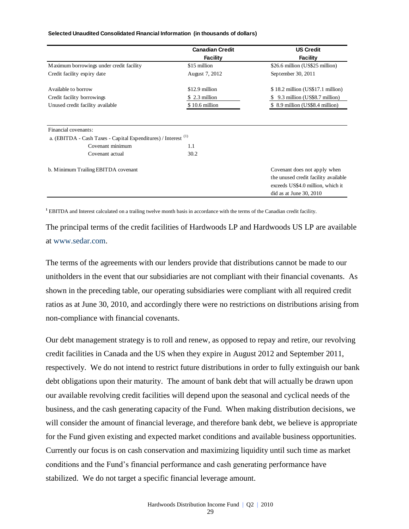#### **Selected Unaudited Consolidated Financial Information (in thousands of dollars)**

|                                                                           | <b>Canadian Credit</b> | <b>US Credit</b>                     |
|---------------------------------------------------------------------------|------------------------|--------------------------------------|
|                                                                           | <b>Facility</b>        | <b>Facility</b>                      |
| Maximum borrowings under credit facility                                  | \$15 million           | \$26.6 million (US\$25 million)      |
| Credit facility expiry date                                               | August 7, 2012         | September 30, 2011                   |
| Available to borrow                                                       | \$12.9 million         | $$18.2$ million (US\$17.1 million)   |
| Credit facility borrowings                                                | \$ 2.3 million         | 9.3 million (US\$8.7 million)        |
| Unused credit facility available                                          | \$10.6 million         | \$ 8.9 million (US\$8.4 million)     |
| Financial covenants:                                                      |                        |                                      |
| a. (EBITDA - Cash Taxes - Capital Expenditures) / Interest <sup>(1)</sup> |                        |                                      |
| Covenant minimum                                                          | 1.1                    |                                      |
| Covenant actual                                                           | 30.2                   |                                      |
| b. Minimum Trailing EBITDA covenant                                       |                        | Covenant does not apply when         |
|                                                                           |                        | the unused credit facility available |
|                                                                           |                        | exceeds US\$4.0 million, which it    |
|                                                                           |                        | did as at June 30, 2010              |

**<sup>1</sup>** EBITDA and Interest calculated on a trailing twelve month basis in accordance with the terms of the Canadian credit facility.

The principal terms of the credit facilities of Hardwoods LP and Hardwoods US LP are available at [www.sedar.com.](http://www.sedar.com/)

The terms of the agreements with our lenders provide that distributions cannot be made to our unitholders in the event that our subsidiaries are not compliant with their financial covenants. As shown in the preceding table, our operating subsidiaries were compliant with all required credit ratios as at June 30, 2010, and accordingly there were no restrictions on distributions arising from non-compliance with financial covenants.

Our debt management strategy is to roll and renew, as opposed to repay and retire, our revolving credit facilities in Canada and the US when they expire in August 2012 and September 2011, respectively. We do not intend to restrict future distributions in order to fully extinguish our bank debt obligations upon their maturity. The amount of bank debt that will actually be drawn upon our available revolving credit facilities will depend upon the seasonal and cyclical needs of the business, and the cash generating capacity of the Fund. When making distribution decisions, we will consider the amount of financial leverage, and therefore bank debt, we believe is appropriate for the Fund given existing and expected market conditions and available business opportunities. Currently our focus is on cash conservation and maximizing liquidity until such time as market conditions and the Fund's financial performance and cash generating performance have stabilized. We do not target a specific financial leverage amount.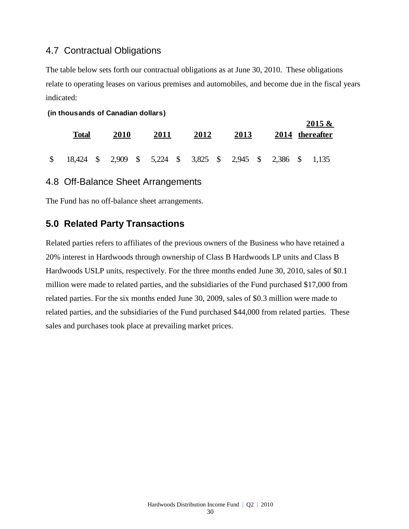### 4.7 Contractual Obligations

The table below sets forth our contractual obligations as at June 30, 2010. These obligations relate to operating leases on various premises and automobiles, and become due in the fiscal years indicated:

**2015 &** 

#### **(in thousands of Canadian dollars)**

| Total                                                           | 2010 | 2011 | 2012 | 2013 |  | $2015 \&$<br>2014 thereafter |
|-----------------------------------------------------------------|------|------|------|------|--|------------------------------|
| \$ 18,424 \$ 2,909 \$ 5,224 \$ 3,825 \$ 2,945 \$ 2,386 \$ 1,135 |      |      |      |      |  |                              |

### 4.8 Off-Balance Sheet Arrangements

The Fund has no off-balance sheet arrangements.

### **5.0 Related Party Transactions**

Related parties refers to affiliates of the previous owners of the Business who have retained a 20% interest in Hardwoods through ownership of Class B Hardwoods LP units and Class B Hardwoods USLP units, respectively. For the three months ended June 30, 2010, sales of \$0.1 million were made to related parties, and the subsidiaries of the Fund purchased \$17,000 from related parties. For the six months ended June 30, 2009, sales of \$0.3 million were made to related parties, and the subsidiaries of the Fund purchased \$44,000 from related parties. These sales and purchases took place at prevailing market prices.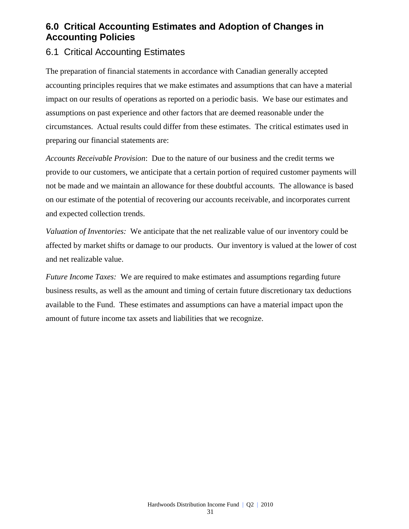### **6.0 Critical Accounting Estimates and Adoption of Changes in Accounting Policies**

### 6.1 Critical Accounting Estimates

The preparation of financial statements in accordance with Canadian generally accepted accounting principles requires that we make estimates and assumptions that can have a material impact on our results of operations as reported on a periodic basis. We base our estimates and assumptions on past experience and other factors that are deemed reasonable under the circumstances. Actual results could differ from these estimates. The critical estimates used in preparing our financial statements are:

*Accounts Receivable Provision*: Due to the nature of our business and the credit terms we provide to our customers, we anticipate that a certain portion of required customer payments will not be made and we maintain an allowance for these doubtful accounts. The allowance is based on our estimate of the potential of recovering our accounts receivable, and incorporates current and expected collection trends.

*Valuation of Inventories:* We anticipate that the net realizable value of our inventory could be affected by market shifts or damage to our products. Our inventory is valued at the lower of cost and net realizable value.

*Future Income Taxes:* We are required to make estimates and assumptions regarding future business results, as well as the amount and timing of certain future discretionary tax deductions available to the Fund. These estimates and assumptions can have a material impact upon the amount of future income tax assets and liabilities that we recognize.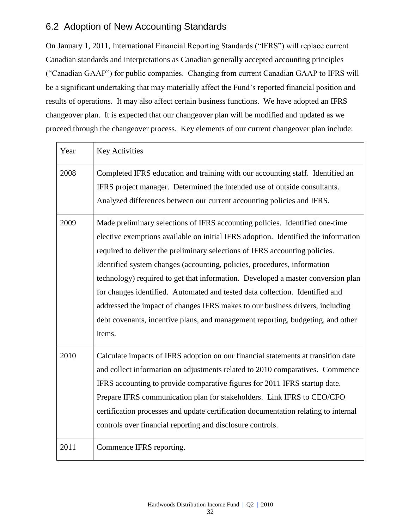### 6.2 Adoption of New Accounting Standards

On January 1, 2011, International Financial Reporting Standards ("IFRS") will replace current Canadian standards and interpretations as Canadian generally accepted accounting principles ("Canadian GAAP") for public companies. Changing from current Canadian GAAP to IFRS will be a significant undertaking that may materially affect the Fund's reported financial position and results of operations. It may also affect certain business functions. We have adopted an IFRS changeover plan. It is expected that our changeover plan will be modified and updated as we proceed through the changeover process. Key elements of our current changeover plan include:

| Year | <b>Key Activities</b>                                                                                                                                                                                                                                                                                                                                                                                                                                                                                                                                                                                                                                                           |
|------|---------------------------------------------------------------------------------------------------------------------------------------------------------------------------------------------------------------------------------------------------------------------------------------------------------------------------------------------------------------------------------------------------------------------------------------------------------------------------------------------------------------------------------------------------------------------------------------------------------------------------------------------------------------------------------|
| 2008 | Completed IFRS education and training with our accounting staff. Identified an<br>IFRS project manager. Determined the intended use of outside consultants.<br>Analyzed differences between our current accounting policies and IFRS.                                                                                                                                                                                                                                                                                                                                                                                                                                           |
| 2009 | Made preliminary selections of IFRS accounting policies. Identified one-time<br>elective exemptions available on initial IFRS adoption. Identified the information<br>required to deliver the preliminary selections of IFRS accounting policies.<br>Identified system changes (accounting, policies, procedures, information<br>technology) required to get that information. Developed a master conversion plan<br>for changes identified. Automated and tested data collection. Identified and<br>addressed the impact of changes IFRS makes to our business drivers, including<br>debt covenants, incentive plans, and management reporting, budgeting, and other<br>items. |
| 2010 | Calculate impacts of IFRS adoption on our financial statements at transition date<br>and collect information on adjustments related to 2010 comparatives. Commence<br>IFRS accounting to provide comparative figures for 2011 IFRS startup date.<br>Prepare IFRS communication plan for stakeholders. Link IFRS to CEO/CFO<br>certification processes and update certification documentation relating to internal<br>controls over financial reporting and disclosure controls.                                                                                                                                                                                                 |
| 2011 | Commence IFRS reporting.                                                                                                                                                                                                                                                                                                                                                                                                                                                                                                                                                                                                                                                        |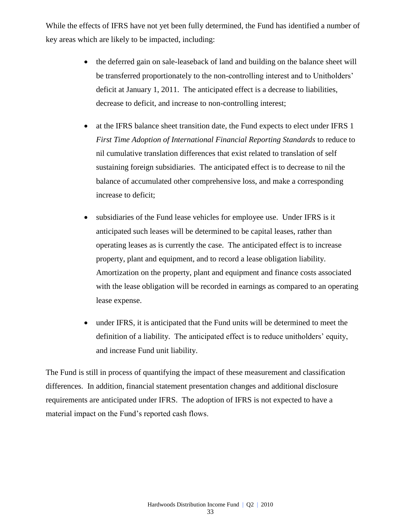While the effects of IFRS have not yet been fully determined, the Fund has identified a number of key areas which are likely to be impacted, including:

- the deferred gain on sale-leaseback of land and building on the balance sheet will be transferred proportionately to the non-controlling interest and to Unitholders' deficit at January 1, 2011. The anticipated effect is a decrease to liabilities, decrease to deficit, and increase to non-controlling interest;
- at the IFRS balance sheet transition date, the Fund expects to elect under IFRS 1 *First Time Adoption of International Financial Reporting Standards* to reduce to nil cumulative translation differences that exist related to translation of self sustaining foreign subsidiaries. The anticipated effect is to decrease to nil the balance of accumulated other comprehensive loss, and make a corresponding increase to deficit;
- subsidiaries of the Fund lease vehicles for employee use. Under IFRS is it anticipated such leases will be determined to be capital leases, rather than operating leases as is currently the case. The anticipated effect is to increase property, plant and equipment, and to record a lease obligation liability. Amortization on the property, plant and equipment and finance costs associated with the lease obligation will be recorded in earnings as compared to an operating lease expense.
- under IFRS, it is anticipated that the Fund units will be determined to meet the definition of a liability. The anticipated effect is to reduce unitholders' equity, and increase Fund unit liability.

The Fund is still in process of quantifying the impact of these measurement and classification differences. In addition, financial statement presentation changes and additional disclosure requirements are anticipated under IFRS. The adoption of IFRS is not expected to have a material impact on the Fund's reported cash flows.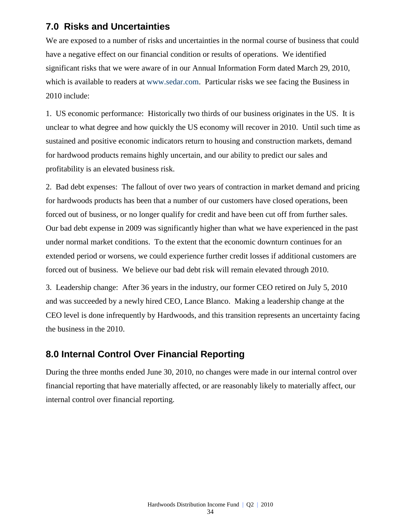### **7.0 Risks and Uncertainties**

We are exposed to a number of risks and uncertainties in the normal course of business that could have a negative effect on our financial condition or results of operations. We identified significant risks that we were aware of in our Annual Information Form dated March 29, 2010, which is available to readers at [www.sedar.com.](http://www.sedar.com/) Particular risks we see facing the Business in 2010 include:

1. US economic performance: Historically two thirds of our business originates in the US. It is unclear to what degree and how quickly the US economy will recover in 2010. Until such time as sustained and positive economic indicators return to housing and construction markets, demand for hardwood products remains highly uncertain, and our ability to predict our sales and profitability is an elevated business risk.

2. Bad debt expenses: The fallout of over two years of contraction in market demand and pricing for hardwoods products has been that a number of our customers have closed operations, been forced out of business, or no longer qualify for credit and have been cut off from further sales. Our bad debt expense in 2009 was significantly higher than what we have experienced in the past under normal market conditions. To the extent that the economic downturn continues for an extended period or worsens, we could experience further credit losses if additional customers are forced out of business. We believe our bad debt risk will remain elevated through 2010.

3. Leadership change: After 36 years in the industry, our former CEO retired on July 5, 2010 and was succeeded by a newly hired CEO, Lance Blanco. Making a leadership change at the CEO level is done infrequently by Hardwoods, and this transition represents an uncertainty facing the business in the 2010.

### **8.0 Internal Control Over Financial Reporting**

During the three months ended June 30, 2010, no changes were made in our internal control over financial reporting that have materially affected, or are reasonably likely to materially affect, our internal control over financial reporting.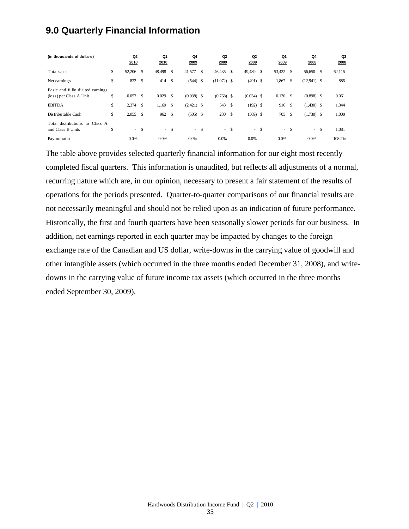### **9.0 Quarterly Financial Information**

| (in thousands of dollars)                                                    |          | Q <sub>2</sub><br>2010 |                     | Q1<br>2010     |                     | Q4<br>2009                   |               | Q3<br>2009          |              | Q2<br>2009                 |               | Q1<br>2009   |            | Q4<br>2008                   |    | Q3<br>2008     |
|------------------------------------------------------------------------------|----------|------------------------|---------------------|----------------|---------------------|------------------------------|---------------|---------------------|--------------|----------------------------|---------------|--------------|------------|------------------------------|----|----------------|
| Total sales                                                                  | \$       | 52,206                 | - \$                | 48,498         | -S                  | 41,577                       | <sup>\$</sup> | 46,435 \$           |              | 49,489                     | \$            | 53,422 \$    |            | 56,650 \$                    |    | 62,115         |
| Net earnings                                                                 | \$       | 822                    | - \$                | 414S           |                     | $(544)$ \$                   |               | $(11,072)$ \$       |              | $(491)$ \$                 |               | 1,867        | -S         | $(12,941)$ \$                |    | 885            |
| Basic and fully diluted earnings<br>(loss) per Class A Unit<br><b>EBITDA</b> | \$<br>\$ | 0.057<br>2,374         | <sup>\$</sup><br>-S | 0.029<br>1,169 | \$<br><sup>\$</sup> | $(0.038)$ \$<br>$(2,421)$ \$ |               | $(0.768)$ \$<br>543 | $\mathbf{s}$ | $(0.034)$ \$<br>$(192)$ \$ |               | 0.130<br>916 | - \$<br>-S | $(0.898)$ \$<br>$(1,430)$ \$ |    | 0.061<br>1,344 |
| Distributable Cash                                                           | \$       | 2,055                  | - \$                | 962            | <sup>\$</sup>       | $(505)$ \$                   |               | 230 \$              |              | $(569)$ \$                 |               | 705          | -S         | $(1,730)$ \$                 |    | 1,000          |
| distributions to<br>Class A<br>Total<br>and Class B Units                    | \$       |                        | - \$                | $\sim$         | -S                  |                              | $- S$         | $- S$               |              | $\sim$                     | <sup>\$</sup> | $\sim$       | -S         | $\sim$                       | -S | 1,081          |
| Payout ratio                                                                 |          | 0.0%                   |                     | 0.0%           |                     | 0.0%                         |               | 0.0%                |              | 0.0%                       |               | 0.0%         |            | 0.0%                         |    | 108.2%         |

The table above provides selected quarterly financial information for our eight most recently completed fiscal quarters. This information is unaudited, but reflects all adjustments of a normal, recurring nature which are, in our opinion, necessary to present a fair statement of the results of operations for the periods presented. Quarter-to-quarter comparisons of our financial results are not necessarily meaningful and should not be relied upon as an indication of future performance. Historically, the first and fourth quarters have been seasonally slower periods for our business. In addition, net earnings reported in each quarter may be impacted by changes to the foreign exchange rate of the Canadian and US dollar, write-downs in the carrying value of goodwill and other intangible assets (which occurred in the three months ended December 31, 2008), and writedowns in the carrying value of future income tax assets (which occurred in the three months ended September 30, 2009).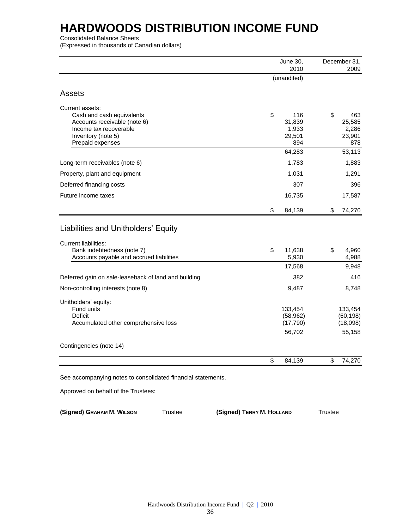Consolidated Balance Sheets

(Expressed in thousands of Canadian dollars)

|                                                                                                                                                               | June 30,               | December 31,          |
|---------------------------------------------------------------------------------------------------------------------------------------------------------------|------------------------|-----------------------|
|                                                                                                                                                               | 2010                   | 2009                  |
|                                                                                                                                                               | (unaudited)            |                       |
| <b>Assets</b>                                                                                                                                                 |                        |                       |
| Current assets:                                                                                                                                               |                        |                       |
| Cash and cash equivalents                                                                                                                                     | \$<br>116              | \$<br>463             |
|                                                                                                                                                               | 31,839<br>1,933        | 25,585<br>2,286       |
| Inventory (note 5)                                                                                                                                            | 29,501                 | 23,901                |
| Prepaid expenses                                                                                                                                              | 894                    | 878                   |
|                                                                                                                                                               | 64,283                 | 53,113                |
| Long-term receivables (note 6)                                                                                                                                | 1,783                  | 1,883                 |
| Property, plant and equipment                                                                                                                                 | 1,031                  | 1,291                 |
| Deferred financing costs                                                                                                                                      | 307                    | 396                   |
| Future income taxes                                                                                                                                           | 16,735                 | 17,587                |
|                                                                                                                                                               | \$<br>84,139           | \$<br>74,270          |
| Liabilities and Unitholders' Equity                                                                                                                           |                        |                       |
| Bank indebtedness (note 7)                                                                                                                                    | \$<br>11,638           | \$<br>4,960           |
| Accounts payable and accrued liabilities                                                                                                                      | 5,930                  | 4,988                 |
|                                                                                                                                                               | 17,568                 | 9,948                 |
| Deferred gain on sale-leaseback of land and building                                                                                                          | 382                    | 416                   |
| Non-controlling interests (note 8)                                                                                                                            | 9,487                  | 8,748                 |
| Unitholders' equity:                                                                                                                                          |                        |                       |
|                                                                                                                                                               | 133,454                | 133,454               |
|                                                                                                                                                               | (58, 962)<br>(17, 790) | (60, 198)<br>(18,098) |
| Accounts receivable (note 6)<br>Income tax recoverable<br>Fund units<br>Deficit<br>Accumulated other comprehensive loss                                       | 56,702                 | 55,158                |
| <b>Current liabilities:</b><br>Contingencies (note 14)<br>See accompanying notes to consolidated financial statements.<br>Approved on behalf of the Trustees: |                        |                       |
|                                                                                                                                                               | \$<br>84,139           | \$<br>74,270          |
|                                                                                                                                                               |                        |                       |
|                                                                                                                                                               |                        |                       |
|                                                                                                                                                               |                        |                       |

**(Signed) GRAHAM M. WILSON** Trustee **(Signed) TERRY M. HOLLAND** Trustee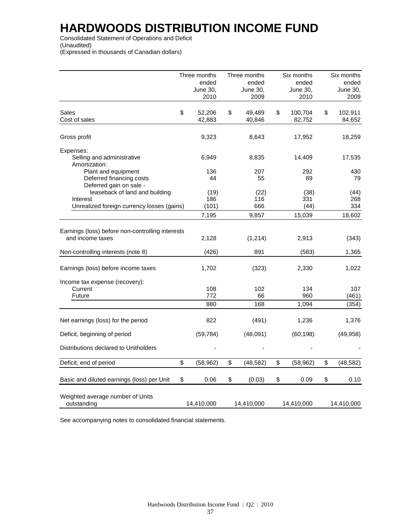Consolidated Statement of Operations and Deficit (Unaudited) (Expressed in thousands of Canadian dollars)

|                                                                                          | Three months<br>ended<br>June 30,<br>2010 | Three months<br>ended<br>June 30,<br>2009 | Six months<br>ended<br>June 30,<br>2010 | Six months<br>ended<br>June 30,<br>2009 |
|------------------------------------------------------------------------------------------|-------------------------------------------|-------------------------------------------|-----------------------------------------|-----------------------------------------|
| Sales<br>Cost of sales                                                                   | \$<br>52,206<br>42,883                    | \$<br>49,489<br>40,846                    | \$<br>100,704<br>82,752                 | \$<br>102,911<br>84,652                 |
| Gross profit                                                                             | 9,323                                     | 8,643                                     | 17,952                                  | 18,259                                  |
| Expenses:<br>Selling and administrative<br>Amortization:                                 | 6,949                                     | 8,835                                     | 14,409                                  | 17,535                                  |
| Plant and equipment<br>Deferred financing costs<br>Deferred gain on sale -               | 136<br>44                                 | 207<br>55                                 | 292<br>89                               | 430<br>79                               |
| leaseback of land and building<br>Interest<br>Unrealized foreign currency losses (gains) | (19)<br>186<br>(101)                      | (22)<br>116<br>666                        | (38)<br>331<br>(44)                     | (44)<br>268<br>334                      |
|                                                                                          | 7,195                                     | 9,857                                     | 15,039                                  | 18,602                                  |
| Earnings (loss) before non-controlling interests<br>and income taxes                     | 2,128                                     | (1, 214)                                  | 2,913                                   | (343)                                   |
| Non-controlling interests (note 8)                                                       | (426)                                     | 891                                       | (583)                                   | 1,365                                   |
| Earnings (loss) before income taxes                                                      | 1,702                                     | (323)                                     | 2,330                                   | 1,022                                   |
| Income tax expense (recovery):<br>Current<br>Future                                      | 108<br>772<br>880                         | 102<br>66<br>168                          | 134<br>960<br>1,094                     | 107<br>(461)<br>(354)                   |
| Net earnings (loss) for the period                                                       | 822                                       | (491)                                     | 1,236                                   | 1,376                                   |
| Deficit, beginning of period                                                             | (59, 784)                                 | (48,091)                                  | (60, 198)                               | (49, 958)                               |
| Distributions declared to Unitholders                                                    |                                           |                                           |                                         |                                         |
| Deficit, end of period                                                                   | \$<br>(58, 962)                           | \$<br>(48, 582)                           | \$<br>(58, 962)                         | \$<br>(48, 582)                         |
| Basic and diluted earnings (loss) per Unit                                               | \$<br>0.06                                | \$<br>(0.03)                              | \$<br>0.09                              | \$<br>0.10                              |
| Weighted average number of Units<br>outstanding                                          | 14,410,000                                | 14,410,000                                | 14,410,000                              | 14,410,000                              |

See accompanying notes to consolidated financial statements.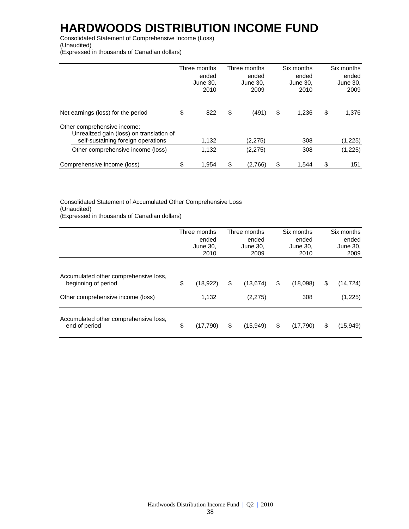Consolidated Statement of Comprehensive Income (Loss) (Unaudited)

(Expressed in thousands of Canadian dollars)

|                                                                                                               | Three months<br>ended<br>June 30.<br>2010 | Three months<br>ended<br>June 30.<br>2009 | Six months<br>ended<br>June 30.<br>2010 | Six months<br>ended<br>June 30.<br>2009 |
|---------------------------------------------------------------------------------------------------------------|-------------------------------------------|-------------------------------------------|-----------------------------------------|-----------------------------------------|
| Net earnings (loss) for the period                                                                            | \$<br>822                                 | \$<br>(491)                               | \$<br>1.236                             | \$<br>1.376                             |
| Other comprehensive income:<br>Unrealized gain (loss) on translation of<br>self-sustaining foreign operations | 1,132                                     | (2, 275)                                  | 308                                     | (1,225)                                 |
| Other comprehensive income (loss)                                                                             | 1,132                                     | (2, 275)                                  | 308                                     | (1,225)                                 |
| Comprehensive income (loss)                                                                                   | \$<br>1.954                               | \$<br>(2,766)                             | \$<br>1.544                             | \$<br>151                               |

Consolidated Statement of Accumulated Other Comprehensive Loss (Unaudited) (Expressed in thousands of Canadian dollars)

|                                                                                                   | Three months<br>ended<br>June 30,<br>2010 | Three months<br>ended<br>June 30,<br>2009 | Six months<br>ended<br>June 30,<br>2010 | Six months<br>ended<br>June 30,<br>2009 |
|---------------------------------------------------------------------------------------------------|-------------------------------------------|-------------------------------------------|-----------------------------------------|-----------------------------------------|
| Accumulated other comprehensive loss,<br>beginning of period<br>Other comprehensive income (loss) | \$<br>(18, 922)<br>1,132                  | \$<br>(13, 674)<br>(2,275)                | \$<br>(18,098)<br>308                   | \$<br>(14, 724)<br>(1,225)              |
| Accumulated other comprehensive loss,<br>end of period                                            | \$<br>(17,790)                            | \$<br>(15,949)                            | \$<br>(17,790)                          | \$<br>(15,949)                          |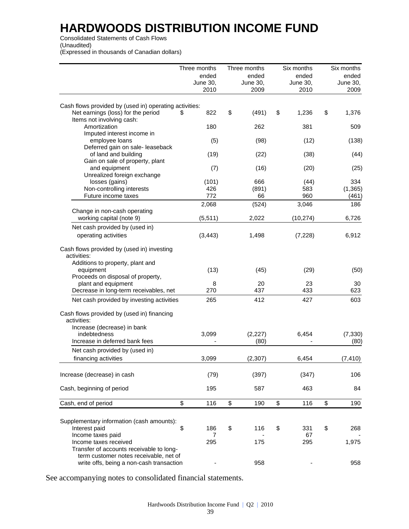Consolidated Statements of Cash Flows (Unaudited) (Expressed in thousands of Canadian dollars)

|                                                        | Three months | Three months | Six months  | Six months      |
|--------------------------------------------------------|--------------|--------------|-------------|-----------------|
|                                                        | ended        | ended        | ended       | ended           |
|                                                        | June 30,     | June 30,     | June 30,    | <b>June 30,</b> |
|                                                        | 2010         | 2009         | 2010        | 2009            |
| Cash flows provided by (used in) operating activities: |              |              |             |                 |
| Net earnings (loss) for the period                     | 822<br>S     | \$<br>(491)  | \$<br>1,236 | \$<br>1,376     |
| Items not involving cash:                              |              |              |             |                 |
| Amortization                                           | 180          | 262          | 381         | 509             |
| Imputed interest income in                             |              |              |             |                 |
| employee loans                                         | (5)          | (98)         | (12)        | (138)           |
| Deferred gain on sale- leaseback                       |              |              |             |                 |
| of land and building                                   | (19)         | (22)         | (38)        | (44)            |
| Gain on sale of property, plant                        |              |              |             |                 |
| and equipment                                          | (7)          | (16)         | (20)        | (25)            |
| Unrealized foreign exchange                            |              |              |             |                 |
| losses (gains)                                         | (101)        | 666          | (44)        | 334             |
| Non-controlling interests                              | 426          | (891)        | 583         | (1, 365)        |
| Future income taxes                                    | 772          | 66           | 960         | (461)           |
|                                                        |              |              |             |                 |
|                                                        | 2,068        | (524)        | 3,046       | 186             |
| Change in non-cash operating                           |              |              |             |                 |
| working capital (note 9)                               | (5, 511)     | 2,022        | (10, 274)   | 6,726           |
| Net cash provided by (used in)                         |              |              |             |                 |
| operating activities                                   | (3, 443)     | 1,498        | (7, 228)    | 6,912           |
| Cash flows provided by (used in) investing             |              |              |             |                 |
| activities:                                            |              |              |             |                 |
| Additions to property, plant and                       |              |              |             |                 |
| equipment                                              | (13)         | (45)         | (29)        | (50)            |
| Proceeds on disposal of property,                      |              |              |             |                 |
| plant and equipment                                    | 8            | 20           | 23          | 30              |
| Decrease in long-term receivables, net                 | 270          | 437          | 433         | 623             |
|                                                        |              |              |             |                 |
| Net cash provided by investing activities              | 265          | 412          | 427         | 603             |
| Cash flows provided by (used in) financing             |              |              |             |                 |
| activities:                                            |              |              |             |                 |
| Increase (decrease) in bank                            |              |              |             |                 |
| indebtedness                                           | 3,099        | (2, 227)     | 6,454       | (7, 330)        |
| Increase in deferred bank fees                         |              | (80)         |             | (80)            |
| Net cash provided by (used in)                         |              |              |             |                 |
| financing activities                                   | 3,099        | (2, 307)     | 6,454       | (7, 410)        |
|                                                        |              |              |             |                 |
| Increase (decrease) in cash                            | (79)         | (397)        | (347)       | 106             |
|                                                        |              |              |             |                 |
| Cash, beginning of period                              | 195          | 587          | 463         | 84              |
| Cash, end of period                                    | \$<br>116    | \$<br>190    | \$<br>116   | \$<br>190       |
|                                                        |              |              |             |                 |
| Supplementary information (cash amounts):              |              |              |             |                 |
| Interest paid                                          | \$<br>186    | \$<br>116    | \$<br>331   | \$<br>268       |
| Income taxes paid                                      | 7            |              | 67          |                 |
| Income taxes received                                  | 295          | 175          | 295         | 1,975           |
| Transfer of accounts receivable to long-               |              |              |             |                 |
| term customer notes receivable, net of                 |              |              |             |                 |
| write offs, being a non-cash transaction               |              | 958          |             | 958             |
|                                                        |              |              |             |                 |

See accompanying notes to consolidated financial statements.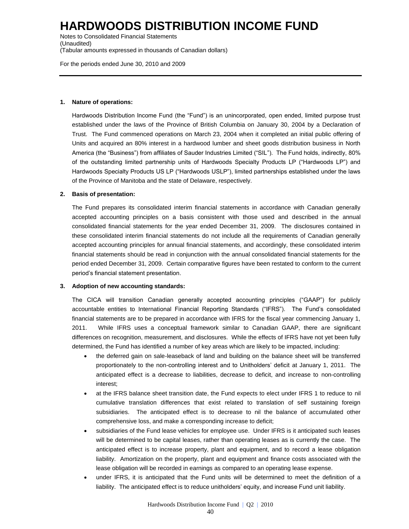Notes to Consolidated Financial Statements (Unaudited) (Tabular amounts expressed in thousands of Canadian dollars)

For the periods ended June 30, 2010 and 2009

#### **1. Nature of operations:**

Hardwoods Distribution Income Fund (the "Fund") is an unincorporated, open ended, limited purpose trust established under the laws of the Province of British Columbia on January 30, 2004 by a Declaration of Trust. The Fund commenced operations on March 23, 2004 when it completed an initial public offering of Units and acquired an 80% interest in a hardwood lumber and sheet goods distribution business in North America (the "Business") from affiliates of Sauder Industries Limited ("SIL"). The Fund holds, indirectly, 80% of the outstanding limited partnership units of Hardwoods Specialty Products LP ("Hardwoods LP") and Hardwoods Specialty Products US LP ("Hardwoods USLP"), limited partnerships established under the laws of the Province of Manitoba and the state of Delaware, respectively.

#### **2. Basis of presentation:**

The Fund prepares its consolidated interim financial statements in accordance with Canadian generally accepted accounting principles on a basis consistent with those used and described in the annual consolidated financial statements for the year ended December 31, 2009. The disclosures contained in these consolidated interim financial statements do not include all the requirements of Canadian generally accepted accounting principles for annual financial statements, and accordingly, these consolidated interim financial statements should be read in conjunction with the annual consolidated financial statements for the period ended December 31, 2009. Certain comparative figures have been restated to conform to the current period's financial statement presentation.

#### **3. Adoption of new accounting standards:**

The CICA will transition Canadian generally accepted accounting principles ("GAAP") for publicly accountable entities to International Financial Reporting Standards ("IFRS"). The Fund's consolidated financial statements are to be prepared in accordance with IFRS for the fiscal year commencing January 1, 2011. While IFRS uses a conceptual framework similar to Canadian GAAP, there are significant differences on recognition, measurement, and disclosures. While the effects of IFRS have not yet been fully determined, the Fund has identified a number of key areas which are likely to be impacted, including:

- the deferred gain on sale-leaseback of land and building on the balance sheet will be transferred proportionately to the non-controlling interest and to Unitholders' deficit at January 1, 2011. The anticipated effect is a decrease to liabilities, decrease to deficit, and increase to non-controlling interest;
- at the IFRS balance sheet transition date, the Fund expects to elect under IFRS 1 to reduce to nil cumulative translation differences that exist related to translation of self sustaining foreign subsidiaries. The anticipated effect is to decrease to nil the balance of accumulated other comprehensive loss, and make a corresponding increase to deficit;
- subsidiaries of the Fund lease vehicles for employee use. Under IFRS is it anticipated such leases will be determined to be capital leases, rather than operating leases as is currently the case. The anticipated effect is to increase property, plant and equipment, and to record a lease obligation liability. Amortization on the property, plant and equipment and finance costs associated with the lease obligation will be recorded in earnings as compared to an operating lease expense.
- under IFRS, it is anticipated that the Fund units will be determined to meet the definition of a liability. The anticipated effect is to reduce unitholders' equity, and increase Fund unit liability.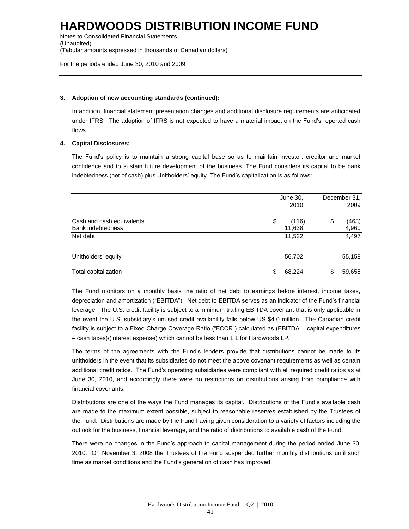Notes to Consolidated Financial Statements (Unaudited) (Tabular amounts expressed in thousands of Canadian dollars)

For the periods ended June 30, 2010 and 2009

#### **3. Adoption of new accounting standards (continued):**

In addition, financial statement presentation changes and additional disclosure requirements are anticipated under IFRS. The adoption of IFRS is not expected to have a material impact on the Fund's reported cash flows.

#### **4. Capital Disclosures:**

The Fund's policy is to maintain a strong capital base so as to maintain investor, creditor and market confidence and to sustain future development of the business. The Fund considers its capital to be bank indebtedness (net of cash) plus Unitholders' equity. The Fund's capitalization is as follows:

|                                                       | June 30,<br>2010      | December 31,<br>2009 |
|-------------------------------------------------------|-----------------------|----------------------|
| Cash and cash equivalents<br><b>Bank indebtedness</b> | \$<br>(116)<br>11,638 | \$<br>(463)<br>4,960 |
| Net debt                                              | 11,522                | 4,497                |
| Unitholders' equity                                   | 56,702                | 55,158               |
| Total capitalization                                  | \$<br>68,224          | \$<br>59,655         |

The Fund monitors on a monthly basis the ratio of net debt to earnings before interest, income taxes, depreciation and amortization ("EBITDA"). Net debt to EBITDA serves as an indicator of the Fund's financial leverage. The U.S. credit facility is subject to a minimum trailing EBITDA covenant that is only applicable in the event the U.S. subsidiary's unused credit availability falls below US \$4.0 million. The Canadian credit facility is subject to a Fixed Charge Coverage Ratio ("FCCR") calculated as (EBITDA – capital expenditures – cash taxes)/(interest expense) which cannot be less than 1.1 for Hardwoods LP.

The terms of the agreements with the Fund's lenders provide that distributions cannot be made to its unitholders in the event that its subsidiaries do not meet the above covenant requirements as well as certain additional credit ratios. The Fund's operating subsidiaries were compliant with all required credit ratios as at June 30, 2010, and accordingly there were no restrictions on distributions arising from compliance with financial covenants.

Distributions are one of the ways the Fund manages its capital. Distributions of the Fund's available cash are made to the maximum extent possible, subject to reasonable reserves established by the Trustees of the Fund. Distributions are made by the Fund having given consideration to a variety of factors including the outlook for the business, financial leverage, and the ratio of distributions to available cash of the Fund.

There were no changes in the Fund's approach to capital management during the period ended June 30, 2010. On November 3, 2008 the Trustees of the Fund suspended further monthly distributions until such time as market conditions and the Fund's generation of cash has improved.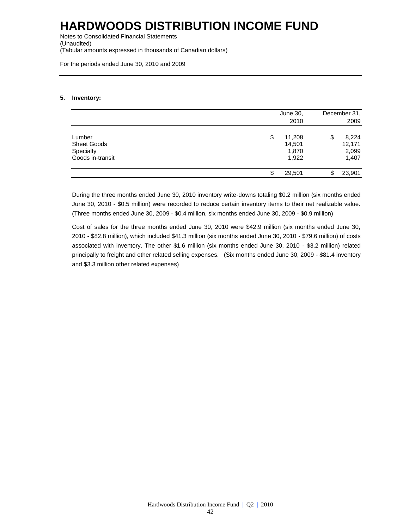Notes to Consolidated Financial Statements (Unaudited) (Tabular amounts expressed in thousands of Canadian dollars)

For the periods ended June 30, 2010 and 2009

#### **5. Inventory:**

|                                                               | June 30,<br>2010                         | December 31,<br>2009                    |
|---------------------------------------------------------------|------------------------------------------|-----------------------------------------|
| Lumber<br><b>Sheet Goods</b><br>Specialty<br>Goods in-transit | \$<br>11,208<br>14,501<br>1,870<br>1,922 | 8,224<br>\$<br>12,171<br>2,099<br>1,407 |
|                                                               | 29,501<br>S                              | 23,901<br>\$                            |

During the three months ended June 30, 2010 inventory write-downs totaling \$0.2 million (six months ended June 30, 2010 - \$0.5 million) were recorded to reduce certain inventory items to their net realizable value. (Three months ended June 30, 2009 - \$0.4 million, six months ended June 30, 2009 - \$0.9 million)

Cost of sales for the three months ended June 30, 2010 were \$42.9 million (six months ended June 30, 2010 - \$82.8 million), which included \$41.3 million (six months ended June 30, 2010 - \$79.6 million) of costs associated with inventory. The other \$1.6 million (six months ended June 30, 2010 - \$3.2 million) related principally to freight and other related selling expenses. (Six months ended June 30, 2009 - \$81.4 inventory and \$3.3 million other related expenses)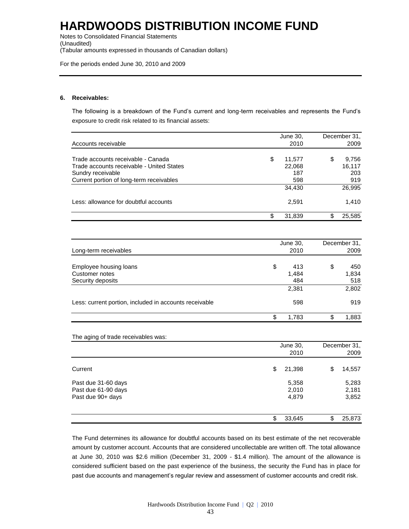Notes to Consolidated Financial Statements (Unaudited) (Tabular amounts expressed in thousands of Canadian dollars)

For the periods ended June 30, 2010 and 2009

#### **6. Receivables:**

The following is a breakdown of the Fund's current and long-term receivables and represents the Fund's exposure to credit risk related to its financial assets:

|                                                                                                                                                                                                                                                                                                                | June 30,        | December 31, |
|----------------------------------------------------------------------------------------------------------------------------------------------------------------------------------------------------------------------------------------------------------------------------------------------------------------|-----------------|--------------|
| Accounts receivable                                                                                                                                                                                                                                                                                            | 2010            | 2009         |
|                                                                                                                                                                                                                                                                                                                |                 |              |
| Trade accounts receivable - Canada                                                                                                                                                                                                                                                                             | \$<br>11,577    | \$<br>9,756  |
| Trade accounts receivable - United States                                                                                                                                                                                                                                                                      | 22,068          | 16,117       |
| Sundry receivable                                                                                                                                                                                                                                                                                              | 187             | 203          |
| Current portion of long-term receivables                                                                                                                                                                                                                                                                       | 598             | 919          |
| Less: allowance for doubtful accounts<br>Long-term receivables<br>Employee housing loans<br>Customer notes<br>Security deposits<br>Less: current portion, included in accounts receivable<br>The aging of trade receivables was:<br>Current<br>Past due 31-60 days<br>Past due 61-90 days<br>Past due 90+ days | 34,430          | 26,995       |
|                                                                                                                                                                                                                                                                                                                | 2,591           | 1,410        |
|                                                                                                                                                                                                                                                                                                                | \$<br>31,839    | \$<br>25,585 |
|                                                                                                                                                                                                                                                                                                                |                 |              |
|                                                                                                                                                                                                                                                                                                                | June 30,        | December 31, |
|                                                                                                                                                                                                                                                                                                                | 2010            | 2009         |
|                                                                                                                                                                                                                                                                                                                | \$<br>413       | \$<br>450    |
|                                                                                                                                                                                                                                                                                                                |                 | 1,834        |
|                                                                                                                                                                                                                                                                                                                | 1,484           |              |
|                                                                                                                                                                                                                                                                                                                | 484             | 518          |
|                                                                                                                                                                                                                                                                                                                | 2,381           | 2,802        |
|                                                                                                                                                                                                                                                                                                                | 598             | 919          |
|                                                                                                                                                                                                                                                                                                                | \$<br>1,783     | \$<br>1,883  |
|                                                                                                                                                                                                                                                                                                                |                 |              |
|                                                                                                                                                                                                                                                                                                                | <b>June 30,</b> | December 31, |
|                                                                                                                                                                                                                                                                                                                | 2010            | 2009         |
|                                                                                                                                                                                                                                                                                                                | \$<br>21,398    | \$<br>14,557 |
|                                                                                                                                                                                                                                                                                                                |                 |              |
|                                                                                                                                                                                                                                                                                                                | 5,358           | 5,283        |
|                                                                                                                                                                                                                                                                                                                | 2,010           | 2,181        |
|                                                                                                                                                                                                                                                                                                                | 4,879           | 3,852        |
|                                                                                                                                                                                                                                                                                                                | \$<br>33,645    | \$<br>25,873 |
|                                                                                                                                                                                                                                                                                                                |                 |              |

The Fund determines its allowance for doubtful accounts based on its best estimate of the net recoverable amount by customer account. Accounts that are considered uncollectable are written off. The total allowance at June 30, 2010 was \$2.6 million (December 31, 2009 - \$1.4 million). The amount of the allowance is considered sufficient based on the past experience of the business, the security the Fund has in place for past due accounts and management's regular review and assessment of customer accounts and credit risk.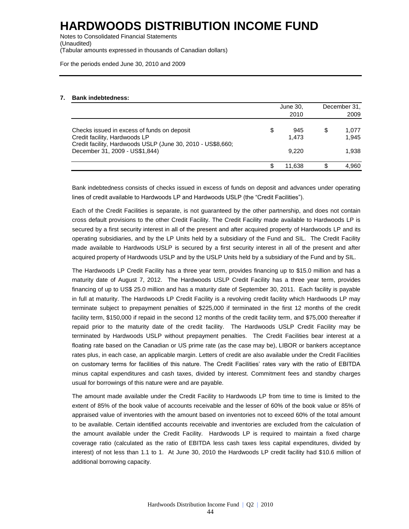Notes to Consolidated Financial Statements (Unaudited) (Tabular amounts expressed in thousands of Canadian dollars)

For the periods ended June 30, 2010 and 2009

#### **7. Bank indebtedness:**

|                                                                                               | June 30,           | December 31. |                |  |
|-----------------------------------------------------------------------------------------------|--------------------|--------------|----------------|--|
|                                                                                               | 2010               |              | 2009           |  |
| Checks issued in excess of funds on deposit<br>Credit facility, Hardwoods LP                  | \$<br>945<br>1.473 | \$           | 1.077<br>1.945 |  |
| Credit facility, Hardwoods USLP (June 30, 2010 - US\$8,660;<br>December 31, 2009 - US\$1,844) | 9.220              |              | 1.938          |  |
|                                                                                               | 11.638             |              | 4.960          |  |

Bank indebtedness consists of checks issued in excess of funds on deposit and advances under operating lines of credit available to Hardwoods LP and Hardwoods USLP (the "Credit Facilities").

Each of the Credit Facilities is separate, is not guaranteed by the other partnership, and does not contain cross default provisions to the other Credit Facility. The Credit Facility made available to Hardwoods LP is secured by a first security interest in all of the present and after acquired property of Hardwoods LP and its operating subsidiaries, and by the LP Units held by a subsidiary of the Fund and SIL. The Credit Facility made available to Hardwoods USLP is secured by a first security interest in all of the present and after acquired property of Hardwoods USLP and by the USLP Units held by a subsidiary of the Fund and by SIL.

The Hardwoods LP Credit Facility has a three year term, provides financing up to \$15.0 million and has a maturity date of August 7, 2012. The Hardwoods USLP Credit Facility has a three year term, provides financing of up to US\$ 25.0 million and has a maturity date of September 30, 2011. Each facility is payable in full at maturity. The Hardwoods LP Credit Facility is a revolving credit facility which Hardwoods LP may terminate subject to prepayment penalties of \$225,000 if terminated in the first 12 months of the credit facility term, \$150,000 if repaid in the second 12 months of the credit facility term, and \$75,000 thereafter if repaid prior to the maturity date of the credit facility. The Hardwoods USLP Credit Facility may be terminated by Hardwoods USLP without prepayment penalties. The Credit Facilities bear interest at a floating rate based on the Canadian or US prime rate (as the case may be), LIBOR or bankers acceptance rates plus, in each case, an applicable margin. Letters of credit are also available under the Credit Facilities on customary terms for facilities of this nature. The Credit Facilities' rates vary with the ratio of EBITDA minus capital expenditures and cash taxes, divided by interest. Commitment fees and standby charges usual for borrowings of this nature were and are payable.

The amount made available under the Credit Facility to Hardwoods LP from time to time is limited to the extent of 85% of the book value of accounts receivable and the lesser of 60% of the book value or 85% of appraised value of inventories with the amount based on inventories not to exceed 60% of the total amount to be available. Certain identified accounts receivable and inventories are excluded from the calculation of the amount available under the Credit Facility. Hardwoods LP is required to maintain a fixed charge coverage ratio (calculated as the ratio of EBITDA less cash taxes less capital expenditures, divided by interest) of not less than 1.1 to 1. At June 30, 2010 the Hardwoods LP credit facility had \$10.6 million of additional borrowing capacity.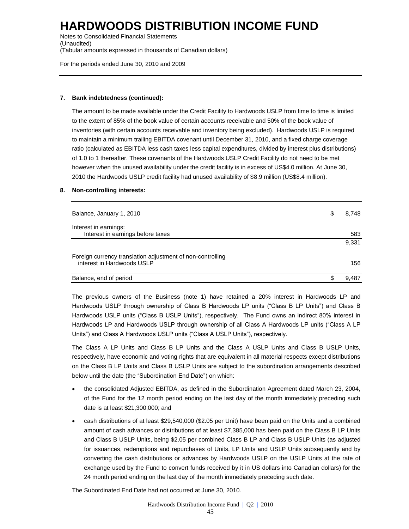Notes to Consolidated Financial Statements (Unaudited) (Tabular amounts expressed in thousands of Canadian dollars)

For the periods ended June 30, 2010 and 2009

#### **7. Bank indebtedness (continued):**

The amount to be made available under the Credit Facility to Hardwoods USLP from time to time is limited to the extent of 85% of the book value of certain accounts receivable and 50% of the book value of inventories (with certain accounts receivable and inventory being excluded). Hardwoods USLP is required to maintain a minimum trailing EBITDA covenant until December 31, 2010, and a fixed charge coverage ratio (calculated as EBITDA less cash taxes less capital expenditures, divided by interest plus distributions) of 1.0 to 1 thereafter. These covenants of the Hardwoods USLP Credit Facility do not need to be met however when the unused availability under the credit facility is in excess of US\$4.0 million. At June 30, 2010 the Hardwoods USLP credit facility had unused availability of \$8.9 million (US\$8.4 million).

#### **8. Non-controlling interests:**

| Balance, January 1, 2010                                                                 | S | 8.748 |
|------------------------------------------------------------------------------------------|---|-------|
| Interest in earnings:<br>Interest in earnings before taxes                               |   | 583   |
|                                                                                          |   | 9,331 |
| Foreign currency translation adjustment of non-controlling<br>interest in Hardwoods USLP |   | 156   |
| Balance, end of period                                                                   |   | 9.487 |

The previous owners of the Business (note 1) have retained a 20% interest in Hardwoods LP and Hardwoods USLP through ownership of Class B Hardwoods LP units ("Class B LP Units") and Class B Hardwoods USLP units ("Class B USLP Units"), respectively. The Fund owns an indirect 80% interest in Hardwoods LP and Hardwoods USLP through ownership of all Class A Hardwoods LP units ("Class A LP Units") and Class A Hardwoods USLP units ("Class A USLP Units"), respectively.

The Class A LP Units and Class B LP Units and the Class A USLP Units and Class B USLP Units, respectively, have economic and voting rights that are equivalent in all material respects except distributions on the Class B LP Units and Class B USLP Units are subject to the subordination arrangements described below until the date (the "Subordination End Date") on which:

- the consolidated Adjusted EBITDA, as defined in the Subordination Agreement dated March 23, 2004, of the Fund for the 12 month period ending on the last day of the month immediately preceding such date is at least \$21,300,000; and
- cash distributions of at least \$29,540,000 (\$2.05 per Unit) have been paid on the Units and a combined amount of cash advances or distributions of at least \$7,385,000 has been paid on the Class B LP Units and Class B USLP Units, being \$2.05 per combined Class B LP and Class B USLP Units (as adjusted for issuances, redemptions and repurchases of Units, LP Units and USLP Units subsequently and by converting the cash distributions or advances by Hardwoods USLP on the USLP Units at the rate of exchange used by the Fund to convert funds received by it in US dollars into Canadian dollars) for the 24 month period ending on the last day of the month immediately preceding such date.

The Subordinated End Date had not occurred at June 30, 2010.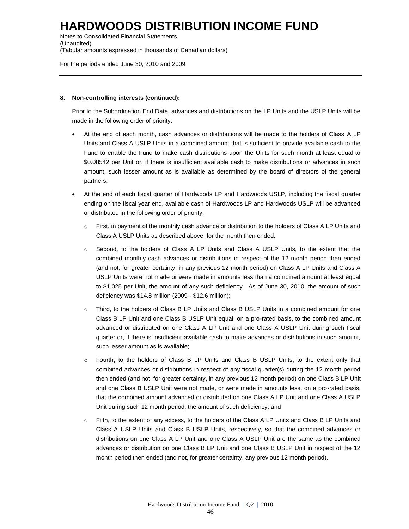Notes to Consolidated Financial Statements (Unaudited) (Tabular amounts expressed in thousands of Canadian dollars)

For the periods ended June 30, 2010 and 2009

#### **8. Non-controlling interests (continued):**

Prior to the Subordination End Date, advances and distributions on the LP Units and the USLP Units will be made in the following order of priority:

- At the end of each month, cash advances or distributions will be made to the holders of Class A LP Units and Class A USLP Units in a combined amount that is sufficient to provide available cash to the Fund to enable the Fund to make cash distributions upon the Units for such month at least equal to \$0.08542 per Unit or, if there is insufficient available cash to make distributions or advances in such amount, such lesser amount as is available as determined by the board of directors of the general partners;
- At the end of each fiscal quarter of Hardwoods LP and Hardwoods USLP, including the fiscal quarter ending on the fiscal year end, available cash of Hardwoods LP and Hardwoods USLP will be advanced or distributed in the following order of priority:
	- $\circ$  First, in payment of the monthly cash advance or distribution to the holders of Class A LP Units and Class A USLP Units as described above, for the month then ended;
	- o Second, to the holders of Class A LP Units and Class A USLP Units, to the extent that the combined monthly cash advances or distributions in respect of the 12 month period then ended (and not, for greater certainty, in any previous 12 month period) on Class A LP Units and Class A USLP Units were not made or were made in amounts less than a combined amount at least equal to \$1.025 per Unit, the amount of any such deficiency. As of June 30, 2010, the amount of such deficiency was \$14.8 million (2009 - \$12.6 million);
	- o Third, to the holders of Class B LP Units and Class B USLP Units in a combined amount for one Class B LP Unit and one Class B USLP Unit equal, on a pro-rated basis, to the combined amount advanced or distributed on one Class A LP Unit and one Class A USLP Unit during such fiscal quarter or, if there is insufficient available cash to make advances or distributions in such amount, such lesser amount as is available;
	- o Fourth, to the holders of Class B LP Units and Class B USLP Units, to the extent only that combined advances or distributions in respect of any fiscal quarter(s) during the 12 month period then ended (and not, for greater certainty, in any previous 12 month period) on one Class B LP Unit and one Class B USLP Unit were not made, or were made in amounts less, on a pro-rated basis, that the combined amount advanced or distributed on one Class A LP Unit and one Class A USLP Unit during such 12 month period, the amount of such deficiency; and
	- o Fifth, to the extent of any excess, to the holders of the Class A LP Units and Class B LP Units and Class A USLP Units and Class B USLP Units, respectively, so that the combined advances or distributions on one Class A LP Unit and one Class A USLP Unit are the same as the combined advances or distribution on one Class B LP Unit and one Class B USLP Unit in respect of the 12 month period then ended (and not, for greater certainty, any previous 12 month period).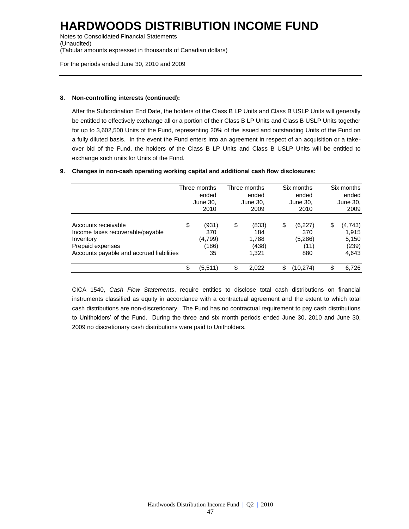Notes to Consolidated Financial Statements (Unaudited) (Tabular amounts expressed in thousands of Canadian dollars)

For the periods ended June 30, 2010 and 2009

#### **8. Non-controlling interests (continued):**

After the Subordination End Date, the holders of the Class B LP Units and Class B USLP Units will generally be entitled to effectively exchange all or a portion of their Class B LP Units and Class B USLP Units together for up to 3,602,500 Units of the Fund, representing 20% of the issued and outstanding Units of the Fund on a fully diluted basis. In the event the Fund enters into an agreement in respect of an acquisition or a takeover bid of the Fund, the holders of the Class B LP Units and Class B USLP Units will be entitled to exchange such units for Units of the Fund.

#### **9. Changes in non-cash operating working capital and additional cash flow disclosures:**

|                                                                                                                                      | Three months<br>ended<br>June 30,<br>2010    | Three months<br>ended<br>June 30,<br>2009     | Six months<br>ended<br>June 30,<br>2010        |    | Six months<br>ended<br>June 30,<br>2009     |
|--------------------------------------------------------------------------------------------------------------------------------------|----------------------------------------------|-----------------------------------------------|------------------------------------------------|----|---------------------------------------------|
| Accounts receivable<br>Income taxes recoverable/payable<br>Inventory<br>Prepaid expenses<br>Accounts payable and accrued liabilities | \$<br>(931)<br>370<br>(4,799)<br>(186)<br>35 | \$<br>(833)<br>184<br>1,788<br>(438)<br>1,321 | \$<br>(6,227)<br>370<br>(5,286)<br>(11)<br>880 | \$ | (4,743)<br>1.915<br>5,150<br>(239)<br>4,643 |
|                                                                                                                                      | \$<br>(5,511)                                | \$<br>2.022                                   | \$<br>(10,274)                                 | ¢  | 6.726                                       |

CICA 1540, *Cash Flow Statements*, require entities to disclose total cash distributions on financial instruments classified as equity in accordance with a contractual agreement and the extent to which total cash distributions are non-discretionary. The Fund has no contractual requirement to pay cash distributions to Unitholders' of the Fund. During the three and six month periods ended June 30, 2010 and June 30, 2009 no discretionary cash distributions were paid to Unitholders.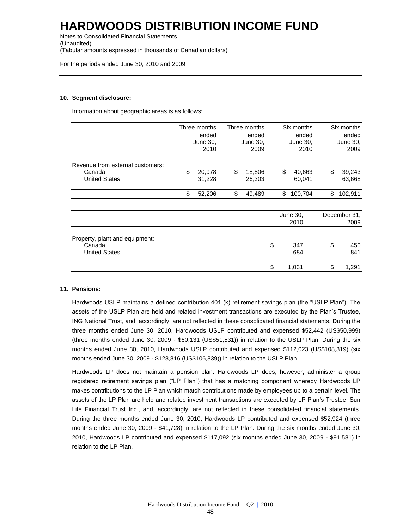Notes to Consolidated Financial Statements (Unaudited) (Tabular amounts expressed in thousands of Canadian dollars)

For the periods ended June 30, 2010 and 2009

#### **10. Segment disclosure:**

Information about geographic areas is as follows:

|                                                                    | Three months<br>Three months<br>ended<br>ended<br>June 30,<br>June 30,<br>2010<br>2009 |    | Six months<br>ended<br>June 30,<br>2010 | Six months<br>ended<br>June 30,<br>2009 |                  |    |                      |
|--------------------------------------------------------------------|----------------------------------------------------------------------------------------|----|-----------------------------------------|-----------------------------------------|------------------|----|----------------------|
| Revenue from external customers:<br>Canada<br><b>United States</b> | \$<br>20,978<br>31,228                                                                 | \$ | 18,806<br>26,303                        | \$                                      | 40,663<br>60,041 | \$ | 39,243<br>63,668     |
|                                                                    | \$<br>52,206                                                                           | \$ | 49,489                                  | \$                                      | 100,704          | \$ | 102,911              |
|                                                                    |                                                                                        |    |                                         | June 30,<br>2010                        |                  |    | December 31,<br>2009 |
| Property, plant and equipment:<br>Canada<br><b>United States</b>   |                                                                                        |    |                                         | \$                                      | 347<br>684       | \$ | 450<br>841           |
|                                                                    |                                                                                        |    |                                         | \$                                      | 1,031            | \$ | 1,291                |

#### **11. Pensions:**

Hardwoods USLP maintains a defined contribution 401 (k) retirement savings plan (the "USLP Plan"). The assets of the USLP Plan are held and related investment transactions are executed by the Plan's Trustee, ING National Trust, and, accordingly, are not reflected in these consolidated financial statements. During the three months ended June 30, 2010, Hardwoods USLP contributed and expensed \$52,442 (US\$50,999) (three months ended June 30, 2009 - \$60,131 (US\$51,531)) in relation to the USLP Plan. During the six months ended June 30, 2010, Hardwoods USLP contributed and expensed \$112,023 (US\$108,319) (six months ended June 30, 2009 - \$128,816 (US\$106,839)) in relation to the USLP Plan.

Hardwoods LP does not maintain a pension plan. Hardwoods LP does, however, administer a group registered retirement savings plan ("LP Plan") that has a matching component whereby Hardwoods LP makes contributions to the LP Plan which match contributions made by employees up to a certain level. The assets of the LP Plan are held and related investment transactions are executed by LP Plan's Trustee, Sun Life Financial Trust Inc., and, accordingly, are not reflected in these consolidated financial statements. During the three months ended June 30, 2010, Hardwoods LP contributed and expensed \$52,924 (three months ended June 30, 2009 - \$41,728) in relation to the LP Plan. During the six months ended June 30, 2010, Hardwoods LP contributed and expensed \$117,092 (six months ended June 30, 2009 - \$91,581) in relation to the LP Plan.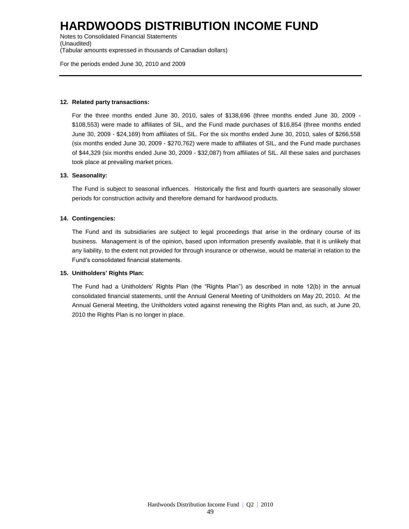Notes to Consolidated Financial Statements (Unaudited) (Tabular amounts expressed in thousands of Canadian dollars)

For the periods ended June 30, 2010 and 2009

#### **12. Related party transactions:**

For the three months ended June 30, 2010, sales of \$138,696 (three months ended June 30, 2009 - \$108,553) were made to affiliates of SIL, and the Fund made purchases of \$16,854 (three months ended June 30, 2009 - \$24,169) from affiliates of SIL. For the six months ended June 30, 2010, sales of \$266,558 (six months ended June 30, 2009 - \$270,762) were made to affiliates of SIL, and the Fund made purchases of \$44,329 (six months ended June 30, 2009 - \$32,087) from affiliates of SIL. All these sales and purchases took place at prevailing market prices.

#### **13. Seasonality:**

The Fund is subject to seasonal influences. Historically the first and fourth quarters are seasonally slower periods for construction activity and therefore demand for hardwood products.

#### **14. Contingencies:**

The Fund and its subsidiaries are subject to legal proceedings that arise in the ordinary course of its business. Management is of the opinion, based upon information presently available, that it is unlikely that any liability, to the extent not provided for through insurance or otherwise, would be material in relation to the Fund's consolidated financial statements.

#### **15. Unitholders' Rights Plan:**

The Fund had a Unitholders' Rights Plan (the "Rights Plan") as described in note 12(b) in the annual consolidated financial statements, until the Annual General Meeting of Unitholders on May 20, 2010. At the Annual General Meeting, the Unitholders voted against renewing the Rights Plan and, as such, at June 20, 2010 the Rights Plan is no longer in place.